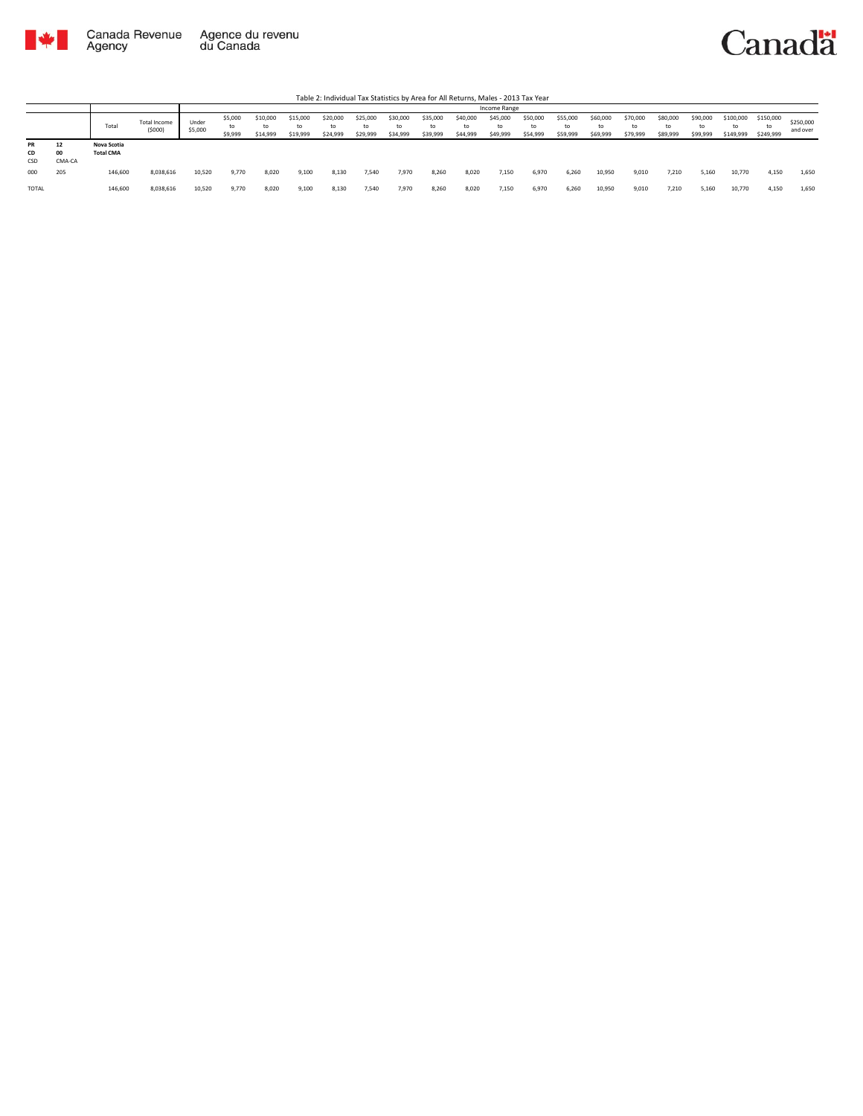

|                 |                    |                                 |                               |                  |                          |                            |                      |                            |                            |                            |                            |                            | Income Range               |                            |                            |                            |                      |                            |                            |                              |                              |                       |
|-----------------|--------------------|---------------------------------|-------------------------------|------------------|--------------------------|----------------------------|----------------------|----------------------------|----------------------------|----------------------------|----------------------------|----------------------------|----------------------------|----------------------------|----------------------------|----------------------------|----------------------|----------------------------|----------------------------|------------------------------|------------------------------|-----------------------|
|                 |                    | Total                           | <b>Total Income</b><br>(5000) | Under<br>\$5,000 | \$5,000<br>to<br>\$9,999 | \$10,000<br>to<br>\$14,999 | \$15,000<br>\$19,999 | \$20,000<br>to<br>\$24,999 | \$25,000<br>to<br>\$29,999 | \$30,000<br>to<br>\$34,999 | \$35,000<br>to<br>\$39,999 | \$40,000<br>to<br>\$44,999 | \$45,000<br>to<br>\$49,999 | \$50,000<br>to<br>\$54,999 | \$55,000<br>to<br>\$59,999 | \$60,000<br>to<br>\$69,999 | \$70,000<br>\$79,999 | \$80,000<br>to<br>\$89,999 | \$90,000<br>to<br>\$99,999 | \$100,000<br>to<br>\$149,999 | \$150,000<br>to<br>\$249,999 | \$250,000<br>and over |
| PR<br>CD<br>CSD | 12<br>00<br>CMA-CA | Nova Scotia<br><b>Total CMA</b> |                               |                  |                          |                            |                      |                            |                            |                            |                            |                            |                            |                            |                            |                            |                      |                            |                            |                              |                              |                       |
| 000             | 205                | 146,600                         | 8,038,616                     | 10,520           | 9,770                    | 8,020                      | 9,100                | 8,130                      | 7,540                      | 7,970                      | 8,260                      | 8,020                      | 7,150                      | 6,970                      | 6,260                      | 10,950                     | 9,010                | 7,210                      | 5,160                      | 10,770                       | 4,150                        | 1,650                 |
| TOTAL           |                    | 146,600                         | 8,038,616                     | 10,520           | 9,770                    | 8,020                      | 9,100                | 8,130                      | 7,540                      | 7,970                      | 8,260                      | 8,020                      | 7,150                      | 6,970                      | 6.260                      | 10,950                     | 9,010                | 7.210                      | 5,160                      | 10,770                       | 4,150                        | 1,650                 |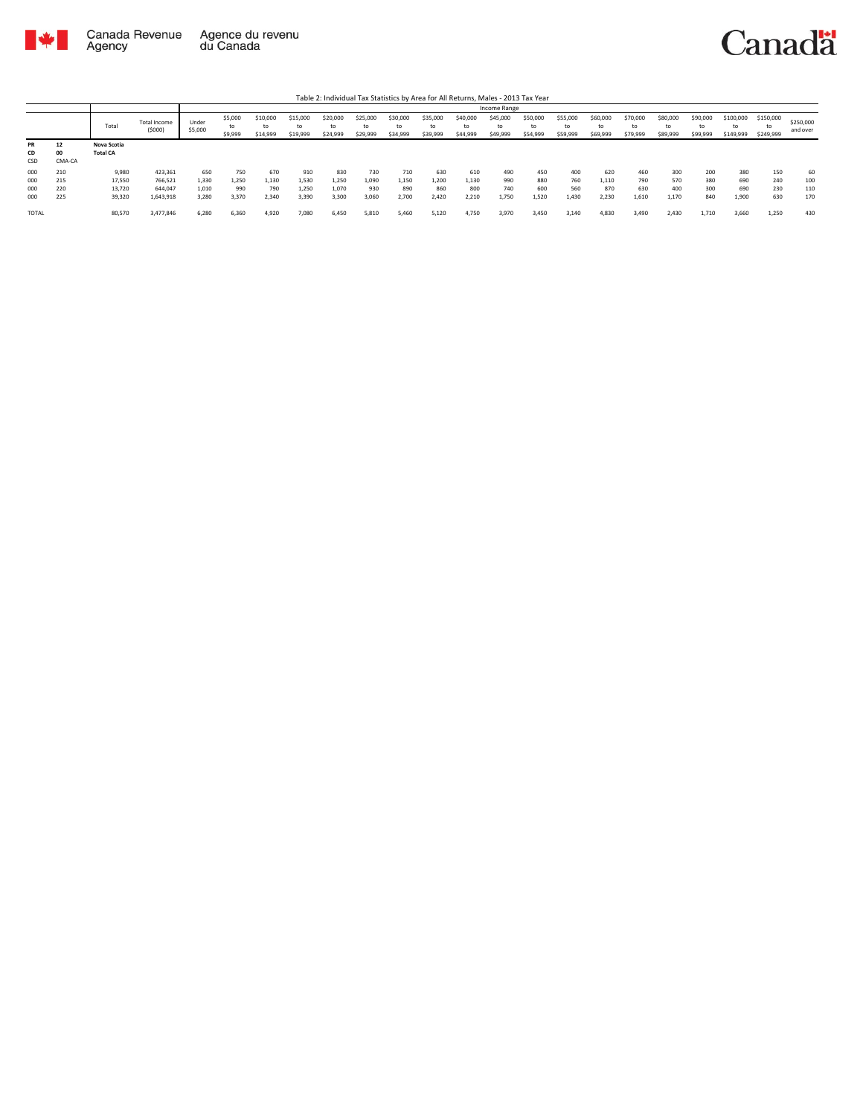

|                        |                    |                                |                        |                  |                          |                            |                            |                            |                            |                      |                            |                            |                            | Table 2: Individual Tax Statistics by Area for All Returns, Males - 2013 Tax Year |                            |                            |                            |                            |                            |                              |                              |                       |
|------------------------|--------------------|--------------------------------|------------------------|------------------|--------------------------|----------------------------|----------------------------|----------------------------|----------------------------|----------------------|----------------------------|----------------------------|----------------------------|-----------------------------------------------------------------------------------|----------------------------|----------------------------|----------------------------|----------------------------|----------------------------|------------------------------|------------------------------|-----------------------|
|                        |                    |                                |                        |                  |                          |                            |                            |                            |                            |                      |                            |                            | Income Range               |                                                                                   |                            |                            |                            |                            |                            |                              |                              |                       |
|                        |                    | Total                          | Total Income<br>(5000) | Under<br>\$5,000 | \$5,000<br>to<br>\$9,999 | \$10,000<br>to<br>\$14,999 | \$15,000<br>to<br>\$19,999 | \$20,000<br>to<br>\$24,999 | \$25,000<br>to<br>\$29,999 | \$30,000<br>\$34,999 | \$35,000<br>to<br>\$39,999 | \$40,000<br>to<br>\$44,999 | \$45,000<br>to<br>\$49,999 | \$50,000<br>to<br>\$54,999                                                        | \$55,000<br>to<br>\$59,999 | \$60,000<br>to<br>\$69,999 | \$70,000<br>to<br>\$79,999 | \$80,000<br>to<br>\$89,999 | \$90,000<br>to<br>\$99,999 | \$100,000<br>to<br>\$149,999 | \$150,000<br>to<br>\$249,999 | \$250,000<br>and over |
| <b>PR</b><br>CD<br>CSD | 12<br>00<br>CMA-CA | Nova Scotia<br><b>Total CA</b> |                        |                  |                          |                            |                            |                            |                            |                      |                            |                            |                            |                                                                                   |                            |                            |                            |                            |                            |                              |                              |                       |
| 000                    | 210                | 9.980                          | 423.361                | 650              | 750                      | 670                        | 910                        | 830                        | 730                        | 710                  | 630                        | 610                        | 490                        | 450                                                                               | 400                        | 620                        | 460                        | 300                        | 200                        | 380                          | 150                          | 60                    |
| 000                    | 215                | 17,550                         | 766,521                | 1,330            | 1,250                    | 1,130                      | 1,530                      | 1.250                      | 1,090                      | 1,150                | 1.200                      | 1,130                      | 990                        | 880                                                                               | 760                        | 1,110                      | 790                        | 570                        | 380                        | 690                          | 240                          | 100                   |
| 000                    | 220                | 13,720                         | 644.047                | 1.010            | 990                      | 790                        | 1,250                      | 1.070                      | 930                        | 890                  | 860                        | 800                        | 740                        | 600                                                                               | 560                        | 870                        | 630                        | 400                        | 300                        | 690                          | 230                          | 110                   |
| 000                    | 225                | 39,320                         | 1,643,918              | 3,280            | 3,370                    | 2,340                      | 3,390                      | 3,300                      | 3,060                      | 2,700                | 2.420                      | 2,210                      | 1,750                      | 1,520                                                                             | 1.430                      | 2,230                      | 1,610                      | 1,170                      | 840                        | 1,900                        | 630                          | 170                   |
| TOTAL                  |                    | 80,570                         | 3,477,846              | 6.280            | 6.360                    | 4.920                      | 7.080                      | 6.450                      | 5,810                      | 5.460                | 5.120                      | 4.750                      | 3.970                      | 3,450                                                                             | 3.140                      | 4.830                      | 3.490                      | 2.430                      | 1.710                      | 3.660                        | 1.250                        | 430                   |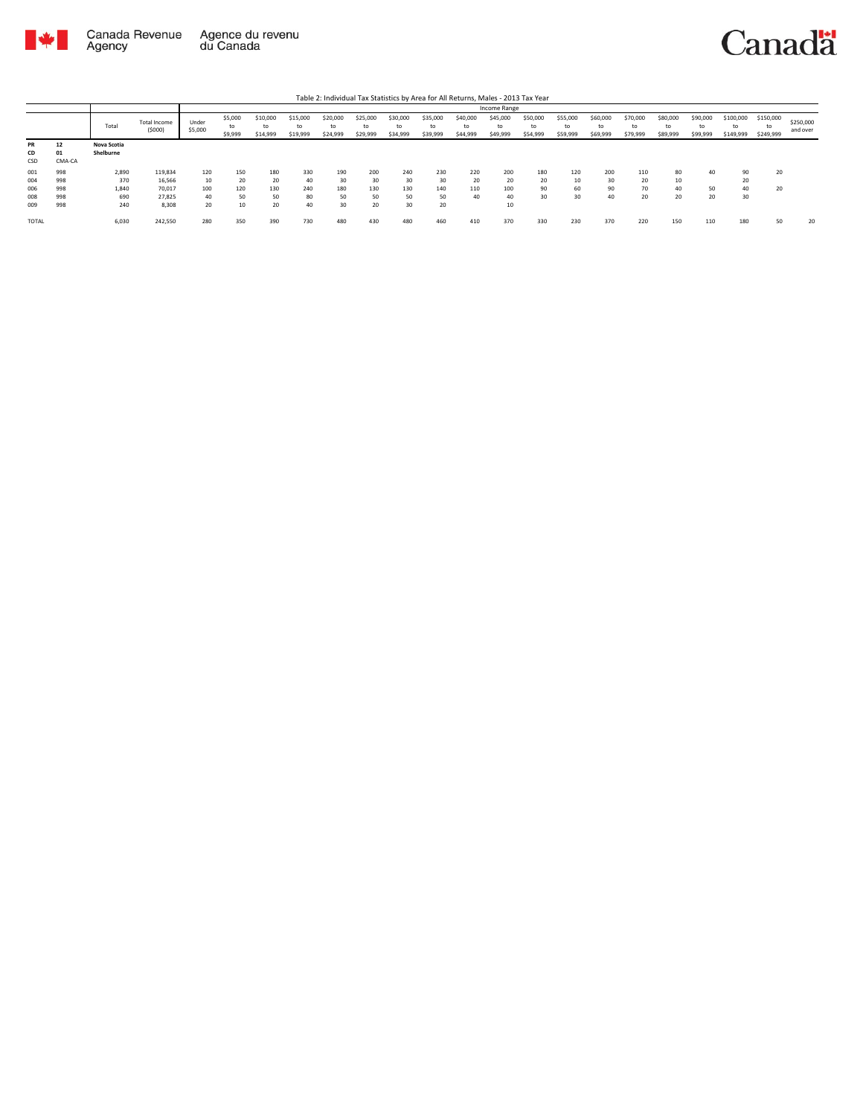

|              |        |             |                        |                  |                          |                            |                            |                            |                            |                            |                            |                            | Income Range               |                            |                            |                            |                            |                            |                            |                              |                              |                       |
|--------------|--------|-------------|------------------------|------------------|--------------------------|----------------------------|----------------------------|----------------------------|----------------------------|----------------------------|----------------------------|----------------------------|----------------------------|----------------------------|----------------------------|----------------------------|----------------------------|----------------------------|----------------------------|------------------------------|------------------------------|-----------------------|
|              |        | Total       | Total Income<br>(5000) | Under<br>\$5,000 | \$5,000<br>to<br>\$9,999 | \$10,000<br>to<br>\$14,999 | \$15,000<br>to<br>\$19,999 | \$20,000<br>to<br>\$24,999 | \$25,000<br>to<br>\$29,999 | \$30,000<br>to<br>\$34,999 | \$35,000<br>to<br>\$39,999 | \$40,000<br>to<br>\$44,999 | \$45,000<br>to<br>\$49,999 | \$50,000<br>to<br>\$54,999 | \$55,000<br>to<br>\$59,999 | \$60,000<br>to<br>\$69,999 | \$70,000<br>to<br>\$79,999 | \$80,000<br>to<br>\$89,999 | \$90,000<br>to<br>\$99,999 | \$100,000<br>to<br>\$149,999 | \$150,000<br>to<br>\$249,999 | \$250,000<br>and over |
| <b>PR</b>    | 12     | Nova Scotia |                        |                  |                          |                            |                            |                            |                            |                            |                            |                            |                            |                            |                            |                            |                            |                            |                            |                              |                              |                       |
| CD           | 01     | Shelburne   |                        |                  |                          |                            |                            |                            |                            |                            |                            |                            |                            |                            |                            |                            |                            |                            |                            |                              |                              |                       |
| CSD          | CMA-CA |             |                        |                  |                          |                            |                            |                            |                            |                            |                            |                            |                            |                            |                            |                            |                            |                            |                            |                              |                              |                       |
| 001          | 998    | 2,890       | 119,834                | 120              | 150                      | 180                        | 330                        | 190                        | 200                        | 240                        | 230                        | 220                        | 200                        | 180                        | 120                        | 200                        | 110                        | 80                         | 40                         | 90                           | 20                           |                       |
| 004          | 998    | 370         | 16,566                 | 10               | 20                       | 20                         | 40                         | 30                         | 30                         | 30                         | 30                         | 20                         | 20                         | 20                         | 10                         | 30                         | 20                         | 10                         |                            | 20                           |                              |                       |
| 006          | 998    | 1,840       | 70.017                 | 100              | 120                      | 130                        | 240                        | 180                        | 130                        | 130                        | 140                        | 110                        | 100                        | 90                         | 60                         | 90                         | 70                         | 40                         | 50                         | 40                           | 20                           |                       |
| 008          | 998    | 690         | 27.825                 | 40               | 50                       | 50                         | 80                         | 50                         | 50                         | 50                         | 50                         | 40                         | 40                         | 30                         | 30                         | 40                         | 20                         | 20                         | 20                         | 30                           |                              |                       |
| 009          | 998    | 240         | 8,308                  | 20               | 10                       | 20                         | 40                         | 30                         | 20                         | 30                         | 20                         |                            | 10                         |                            |                            |                            |                            |                            |                            |                              |                              |                       |
| <b>TOTAL</b> |        | 6,030       | 242,550                | 280              | 350                      | 390                        | 730                        | 480                        | 430                        | 480                        | 460                        | 410                        | 370                        | 330                        | 230                        | 370                        | 220                        | 150                        | 110                        | 180                          | 50                           | 20                    |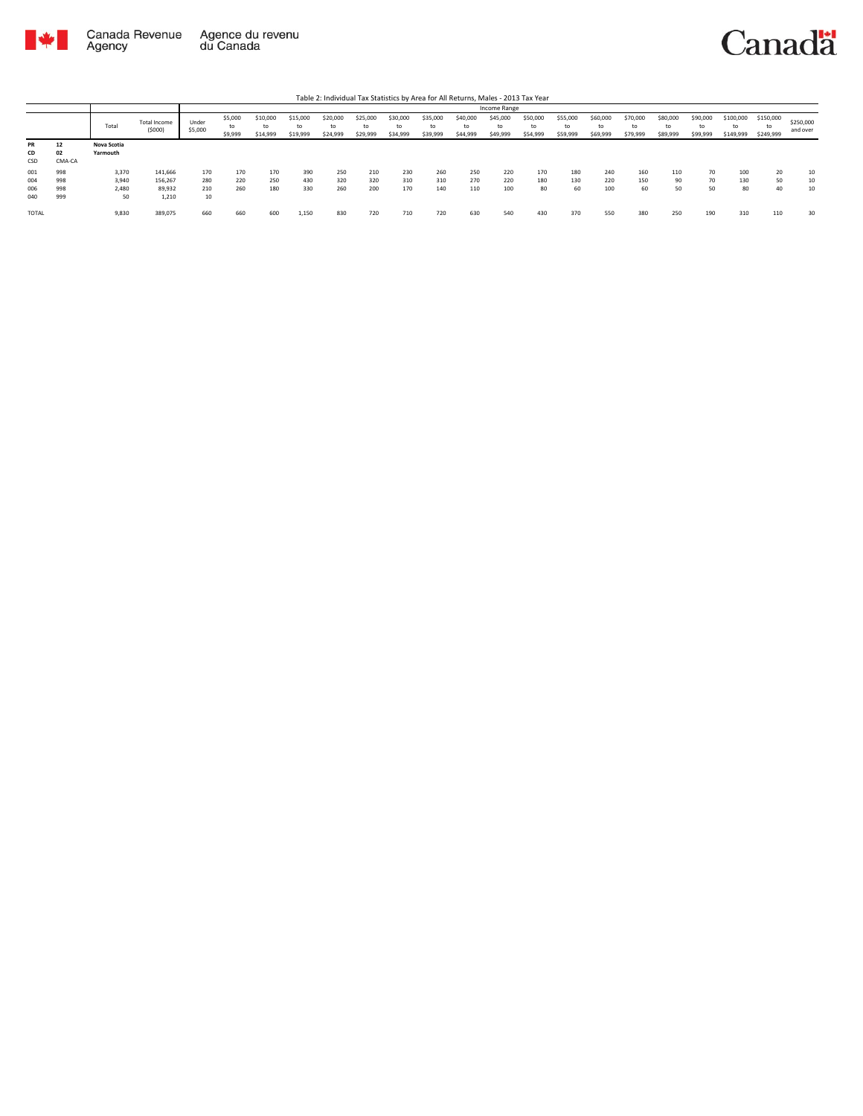

|                          |                          |                               |                                       |                         |                          |                            |                            |                            |                            |                      |                            |                            | Income Range               |                            |                            |                            |                            |                            |                            |                              |                              |                       |
|--------------------------|--------------------------|-------------------------------|---------------------------------------|-------------------------|--------------------------|----------------------------|----------------------------|----------------------------|----------------------------|----------------------|----------------------------|----------------------------|----------------------------|----------------------------|----------------------------|----------------------------|----------------------------|----------------------------|----------------------------|------------------------------|------------------------------|-----------------------|
|                          |                          | Total                         | Total Income<br>(5000)                | Under<br>\$5,000        | \$5,000<br>to<br>\$9,999 | \$10,000<br>to<br>\$14,999 | \$15,000<br>to<br>\$19,999 | \$20,000<br>to<br>\$24,999 | \$25,000<br>to<br>\$29,999 | \$30,000<br>\$34,999 | \$35,000<br>to<br>\$39,999 | \$40,000<br>to<br>\$44,999 | \$45,000<br>to<br>\$49,999 | \$50,000<br>to<br>\$54,999 | \$55,000<br>to<br>\$59,999 | \$60,000<br>to<br>\$69,999 | \$70,000<br>to<br>\$79,999 | \$80,000<br>to<br>\$89,999 | \$90,000<br>to<br>\$99,999 | \$100,000<br>to<br>\$149,999 | \$150,000<br>to<br>\$249,999 | \$250,000<br>and over |
| <b>PR</b><br>CD<br>CSD   | 12<br>02<br>CMA-CA       | Nova Scotia<br>Yarmouth       |                                       |                         |                          |                            |                            |                            |                            |                      |                            |                            |                            |                            |                            |                            |                            |                            |                            |                              |                              |                       |
| 001<br>004<br>006<br>040 | 998<br>998<br>998<br>999 | 3,370<br>3,940<br>2,480<br>50 | 141,666<br>156,267<br>89,932<br>1,210 | 170<br>280<br>210<br>10 | 170<br>220<br>260        | 170<br>250<br>180          | 390<br>430<br>330          | 250<br>320<br>260          | 210<br>320<br>200          | 230<br>310<br>170    | 260<br>310<br>140          | 250<br>270<br>110          | 220<br>220<br>100          | 170<br>180<br>80           | 180<br>130<br>60           | 240<br>220<br>100          | 160<br>150<br>60           | 110<br>90<br>50            | 70<br>70<br>50             | 100<br>130<br>80             | 20<br>50<br>40               | 10<br>10<br>10        |
| <b>TOTAL</b>             |                          | 9,830                         | 389,075                               | 660                     | 660                      | 600                        | 1,150                      | 830                        | 720                        | 710                  | 720                        | 630                        | 540                        | 430                        | 370                        | 550                        | 380                        | 250                        | 190                        | 310                          | 110                          | 30                    |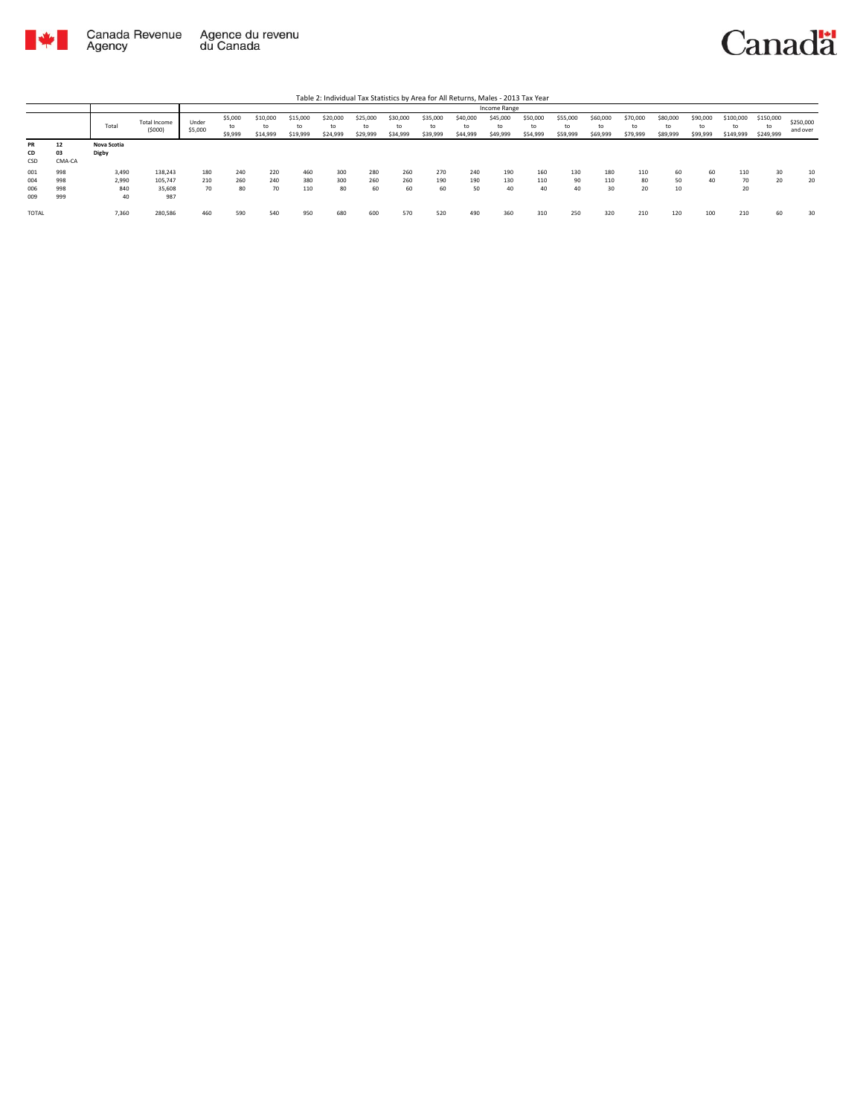



|                 |                    |                      |                        |                  |                          |                            |                            |                            |                            |                            |                            |                            | Income Range               |                            |                            |                            |                            |                            |                            |                              |                        |                       |
|-----------------|--------------------|----------------------|------------------------|------------------|--------------------------|----------------------------|----------------------------|----------------------------|----------------------------|----------------------------|----------------------------|----------------------------|----------------------------|----------------------------|----------------------------|----------------------------|----------------------------|----------------------------|----------------------------|------------------------------|------------------------|-----------------------|
|                 |                    | Tota                 | Total Income<br>(5000) | Under<br>\$5,000 | \$5,000<br>to<br>\$9,999 | \$10,000<br>to<br>\$14,999 | \$15,000<br>to<br>\$19,999 | \$20,000<br>to<br>\$24,999 | \$25,000<br>to<br>\$29,999 | \$30,000<br>to<br>\$34,999 | \$35,000<br>to<br>\$39,999 | \$40,000<br>to<br>\$44,999 | \$45,000<br>to<br>\$49,999 | \$50,000<br>to<br>\$54,999 | \$55,000<br>to<br>\$59,999 | \$60,000<br>to<br>\$69,999 | \$70,000<br>to<br>\$79,999 | \$80,000<br>to<br>\$89,999 | \$90,000<br>to<br>\$99,999 | \$100,000<br>to<br>\$149,999 | \$150,000<br>\$249,999 | \$250,000<br>and over |
| PR<br>CD<br>CSD | 12<br>03<br>CMA-CA | Nova Scotia<br>Digby |                        |                  |                          |                            |                            |                            |                            |                            |                            |                            |                            |                            |                            |                            |                            |                            |                            |                              |                        |                       |
| 001             | 998                | 3,490                | 138,243                | 180              | 240                      | 220                        | 460                        | 300                        | 280                        | 260                        | 270                        | 240                        | 190                        | 160                        | 130                        | 180                        | 110                        | 60                         | 60                         | 110                          | 30                     | 10                    |
| 004             | 998                | 2,990                | 105.747                | 210              | 260                      | 240                        | 380                        | 300                        | 260                        | 260                        | 190                        | 190                        | 130                        | 110                        | 90                         | 110                        | 80                         | 50                         | 40                         | 70                           | 20                     | 20                    |
| 006             | 998                | 840                  | 35,608                 | 70               | 80                       | 70                         | 110                        | 80                         | 60                         | 60                         | 60                         | 50                         | 40                         | 40                         | 40                         | 30                         | 20                         | 10                         |                            | 20                           |                        |                       |
| 009             | 999                | 40                   | 987                    |                  |                          |                            |                            |                            |                            |                            |                            |                            |                            |                            |                            |                            |                            |                            |                            |                              |                        |                       |
| <b>TOTAL</b>    |                    | 7,360                | 280,586                | 460              | 590                      | 540                        | 950                        | 680                        | 600                        | 570                        | 520                        | 490                        | 360                        | 310                        | 250                        | 320                        | 210                        | 120                        | 100                        | 210                          | 60                     | 30                    |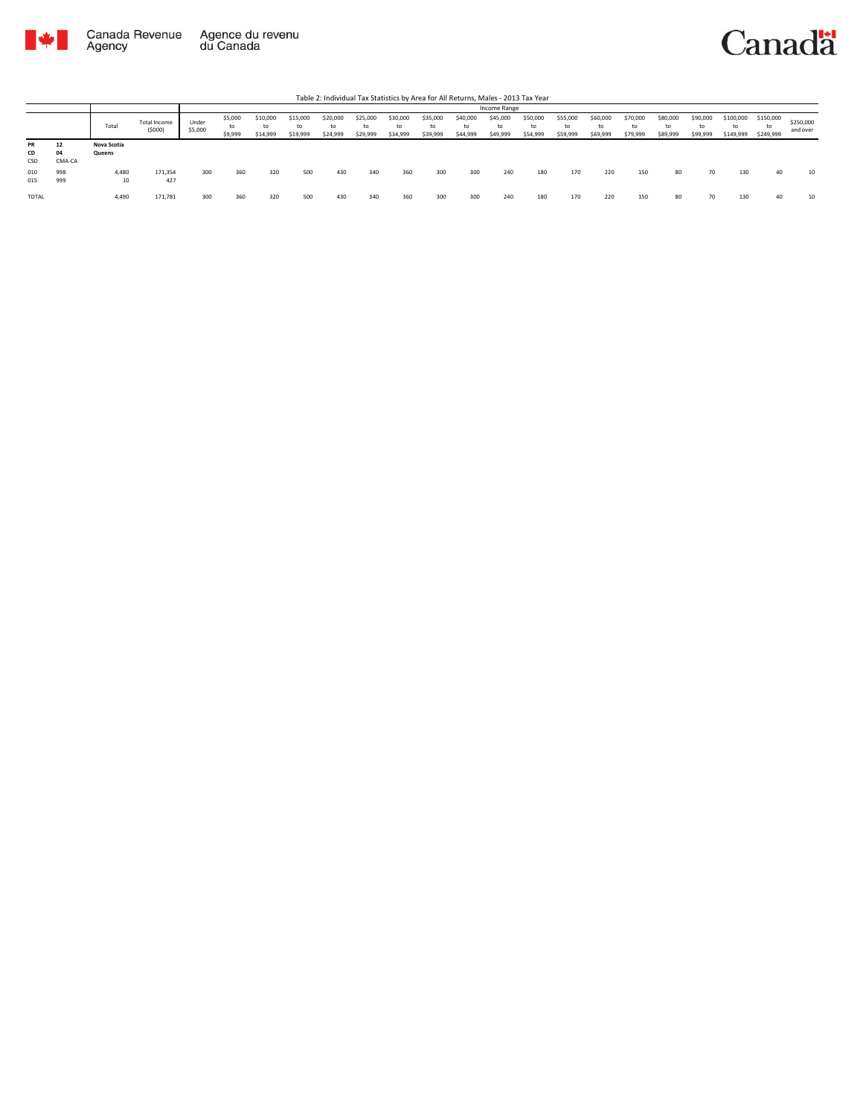

|                        |                    |                       |                        |                  |                          |                            |                            |                            |                            |                            |                            | .                          |                            |                            |                            |                            |                            |                            |                            |                              |                              |                       |
|------------------------|--------------------|-----------------------|------------------------|------------------|--------------------------|----------------------------|----------------------------|----------------------------|----------------------------|----------------------------|----------------------------|----------------------------|----------------------------|----------------------------|----------------------------|----------------------------|----------------------------|----------------------------|----------------------------|------------------------------|------------------------------|-----------------------|
|                        |                    |                       |                        |                  |                          |                            |                            |                            |                            |                            |                            |                            | Income Range               |                            |                            |                            |                            |                            |                            |                              |                              |                       |
|                        |                    | Total                 | Total Income<br>(5000) | Under<br>\$5,000 | \$5,000<br>to<br>\$9,999 | \$10,000<br>to<br>\$14,999 | \$15,000<br>to<br>\$19,999 | \$20,000<br>to<br>\$24,999 | \$25,000<br>to<br>\$29,999 | \$30,000<br>to<br>\$34,999 | \$35,000<br>to<br>\$39,999 | \$40,000<br>to<br>\$44,999 | \$45,000<br>to<br>\$49,999 | \$50,000<br>to<br>\$54,999 | \$55,000<br>to<br>\$59,999 | \$60,000<br>to<br>\$69,999 | \$70,000<br>to<br>\$79,999 | \$80,000<br>to<br>\$89,999 | \$90,000<br>to<br>\$99,999 | \$100,000<br>to<br>\$149,999 | \$150,000<br>to<br>\$249,999 | \$250,000<br>and over |
| <b>PR</b><br>CD<br>CSD | 12<br>04<br>CMA-CA | Nova Scotia<br>Queens |                        |                  |                          |                            |                            |                            |                            |                            |                            |                            |                            |                            |                            |                            |                            |                            |                            |                              |                              |                       |
| 010<br>015             | 998<br>999         | 4,480<br>10           | 171,354<br>427         | 300              | 360                      | 320                        | 500                        | 430                        | 340                        | 360                        | 300                        | 300                        | 240                        | 180                        | 170                        | 220                        | 150                        | 80                         | 70                         | 130                          | 40                           | 10                    |
| <b>TOTAL</b>           |                    | 4,490                 | 171,781                | 300              | 360                      | 320                        | 500                        | 430                        | 340                        | 360                        | 300                        | 300                        | 240                        | 180                        | 170                        | 220                        | 150                        | 80                         | 70                         | 130                          | 40                           | 10                    |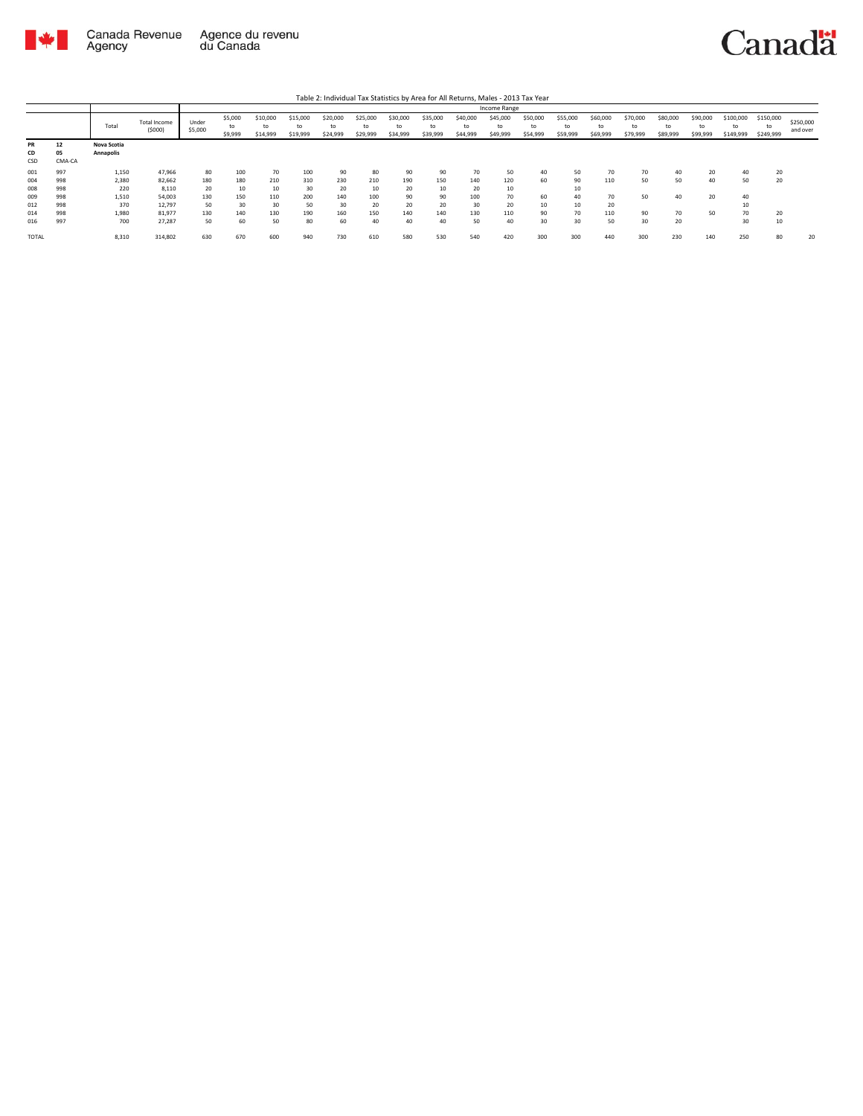

|                        |                    |                          |                               |                  |                          |                            |                            |                            |                            |                            |                            |                            | Income Range               |                            |                      |                            |                            |                            |                            |                              |                              |                       |
|------------------------|--------------------|--------------------------|-------------------------------|------------------|--------------------------|----------------------------|----------------------------|----------------------------|----------------------------|----------------------------|----------------------------|----------------------------|----------------------------|----------------------------|----------------------|----------------------------|----------------------------|----------------------------|----------------------------|------------------------------|------------------------------|-----------------------|
|                        |                    | Total                    | <b>Total Income</b><br>(5000) | Under<br>\$5,000 | \$5,000<br>to<br>\$9,999 | \$10,000<br>to<br>\$14,999 | \$15,000<br>to<br>\$19,999 | \$20,000<br>to<br>\$24,999 | \$25,000<br>to<br>\$29,999 | \$30,000<br>to<br>\$34,999 | \$35,000<br>to<br>\$39,999 | \$40,000<br>to<br>\$44,999 | \$45,000<br>to<br>\$49,999 | \$50,000<br>to<br>\$54,999 | \$55,000<br>\$59,999 | \$60,000<br>to<br>\$69,999 | \$70,000<br>to<br>\$79,999 | \$80,000<br>to<br>\$89,999 | \$90,000<br>to<br>\$99,999 | \$100,000<br>to<br>\$149,999 | \$150,000<br>to<br>\$249,999 | \$250,000<br>and over |
| <b>PR</b><br>CD<br>CSD | 12<br>05<br>CMA-CA | Nova Scotia<br>Annapolis |                               |                  |                          |                            |                            |                            |                            |                            |                            |                            |                            |                            |                      |                            |                            |                            |                            |                              |                              |                       |
| 001                    | 997                | 1,150                    | 47.966                        | 80               | 100                      | 70                         | 100                        | 90                         | 80                         | 90                         | 90                         | 70                         | 50                         | 40                         | 50                   |                            | 70                         | 40                         | 20                         | 40                           | 20                           |                       |
| 004                    | 998                | 2,380                    | 82,662                        | 180              | 180                      | 210                        | 310                        | 230                        | 210                        | 190                        | 150                        | 140                        | 120                        | 60                         | 90                   | 110                        | 50                         | 50                         | 40                         | 50                           | 20                           |                       |
| 008                    | 998                | 220                      | 8.110                         | 20               | 10                       | 10                         | 30                         | 20                         | 10                         | 20                         | 10                         | 20                         | 10                         |                            | 10                   |                            |                            |                            |                            |                              |                              |                       |
| 009                    | 998                | 1,510                    | 54.003                        | 130              | 150                      | 110                        | 200                        | 140                        | 100                        | 90                         | 90                         | 100                        | 70                         | 60                         | 40                   | 70                         | 50                         | 40                         | 20                         | 40                           |                              |                       |
| 012                    | 998                | 370                      | 12,797                        | 50               | 30                       | 30                         | 50                         | 30                         | 20                         | 20                         | 20                         | 30                         | 20                         | 10                         | 10                   | 20                         |                            |                            |                            | 10                           |                              |                       |
| 014                    | 998                | 1,980                    | 81.977                        | 130              | 140                      | 130                        | 190                        | 160                        | 150                        | 140                        | 140                        | 130                        | 110                        | 90                         | 70                   | 110                        | 90                         | 70                         | 50                         | 70                           | 20                           |                       |
| 016                    | 997                | 700                      | 27.287                        | 50               | 60                       | 50                         | 80                         | 60                         | 40                         | 40                         | 40                         | 50                         | 40                         | 30                         | 30                   | 50                         | 30                         | 20                         |                            | 30                           | 10                           |                       |
| TOTAL                  |                    | 8,310                    | 314,802                       | 630              | 670                      | 600                        | 940                        | 730                        | 610                        | 580                        | 530                        | 540                        | 420                        | 300                        | 300                  | 440                        | 300                        | 230                        | 140                        | 250                          | 80                           | 20                    |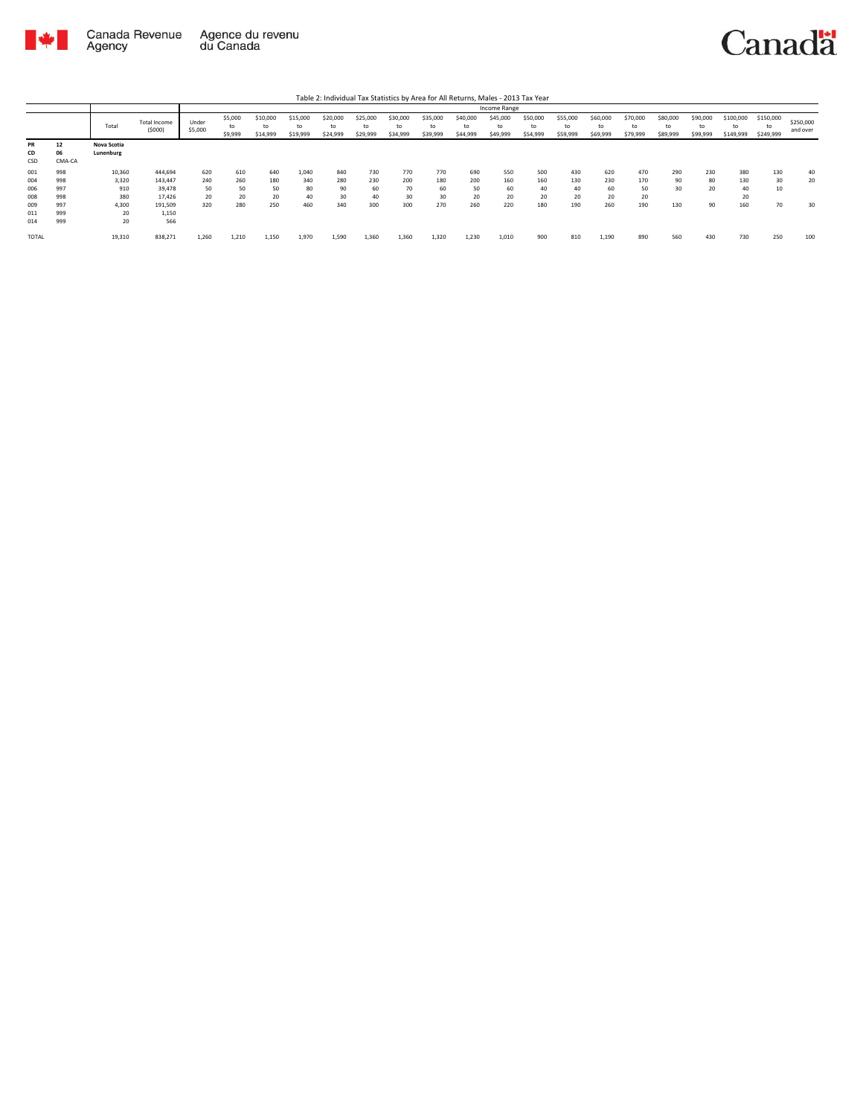

|                 |                    |                          |                               |                  |                          |                            |                            |                            |                            |                      |                            |                            | Income Range               |                            |                            |                            |                            |                            |                            |                              |                              |                       |
|-----------------|--------------------|--------------------------|-------------------------------|------------------|--------------------------|----------------------------|----------------------------|----------------------------|----------------------------|----------------------|----------------------------|----------------------------|----------------------------|----------------------------|----------------------------|----------------------------|----------------------------|----------------------------|----------------------------|------------------------------|------------------------------|-----------------------|
|                 |                    | Total                    | <b>Total Income</b><br>(5000) | Under<br>\$5,000 | \$5,000<br>to<br>\$9,999 | \$10,000<br>to<br>\$14,999 | \$15,000<br>to<br>\$19,999 | \$20,000<br>to<br>\$24,999 | \$25,000<br>to<br>\$29,999 | \$30,000<br>\$34,999 | \$35,000<br>to<br>\$39,999 | \$40,000<br>to<br>\$44,999 | \$45,000<br>to<br>\$49,999 | \$50,000<br>to<br>\$54,999 | \$55,000<br>to<br>\$59,999 | \$60,000<br>to<br>\$69,999 | \$70,000<br>to<br>\$79,999 | \$80,000<br>to<br>\$89,999 | \$90,000<br>to<br>\$99,999 | \$100,000<br>to<br>\$149,999 | \$150,000<br>to<br>\$249,999 | \$250,000<br>and over |
| PR<br>CD<br>CSD | 12<br>06<br>CMA-CA | Nova Scotia<br>Lunenburg |                               |                  |                          |                            |                            |                            |                            |                      |                            |                            |                            |                            |                            |                            |                            |                            |                            |                              |                              |                       |
| 001             | 998                | 10,360                   | 444,694                       | 620              | 610                      | 640                        | 1,040                      | 840                        | 730                        | 770                  | 770                        | 690                        | 550                        | 500                        | 430                        | 620                        | 470                        | 290                        | 230                        | 380                          | 130                          | 40                    |
| 004             | 998                | 3,320                    | 143,447                       | 240              | 260                      | 180                        | 340                        | 280                        | 230                        | 200                  | 180                        | 200                        | 160                        | 160                        | 130                        | 230                        | 170                        | 90                         | 80                         | 130                          | 30                           | 20                    |
| 006             | 997                | 910                      | 39,478                        | 50               | 50                       | 50                         | 80                         | 90                         | 60                         | 70                   | 60                         | 50                         | 60                         | 40                         | 40                         | 60                         | 50                         | 30                         | 20                         | 40                           | 10                           |                       |
| 008             | 998                | 380                      | 17,426                        | 20               | 20                       | 20                         | 40                         | 30                         | 40                         | 30                   | 30                         | 20                         | 20                         | 20                         | 20                         | 20                         | 20                         |                            |                            | 20                           |                              |                       |
| 009             | 997                | 4.300                    | 191,509                       | 320              | 280                      | 250                        | 460                        | 340                        | 300                        | 300                  | 270                        | 260                        | 220                        | 180                        | 190                        | 260                        | 190                        | 130                        | 90                         | 160                          | 70                           | 30                    |
| 011             | 999                | 20                       | 1,150                         |                  |                          |                            |                            |                            |                            |                      |                            |                            |                            |                            |                            |                            |                            |                            |                            |                              |                              |                       |
| 014             | 999                | 20                       | 566                           |                  |                          |                            |                            |                            |                            |                      |                            |                            |                            |                            |                            |                            |                            |                            |                            |                              |                              |                       |
| <b>TOTAL</b>    |                    | 19,310                   | 838,271                       | 1.260            | 1,210                    | 1,150                      | 1,970                      | 1.590                      | 1,360                      | 1.360                | 1.320                      | 1,230                      | 1.010                      | 900                        | 810                        | 1,190                      | 890                        | 560                        | 430                        | 730                          | 250                          | 100                   |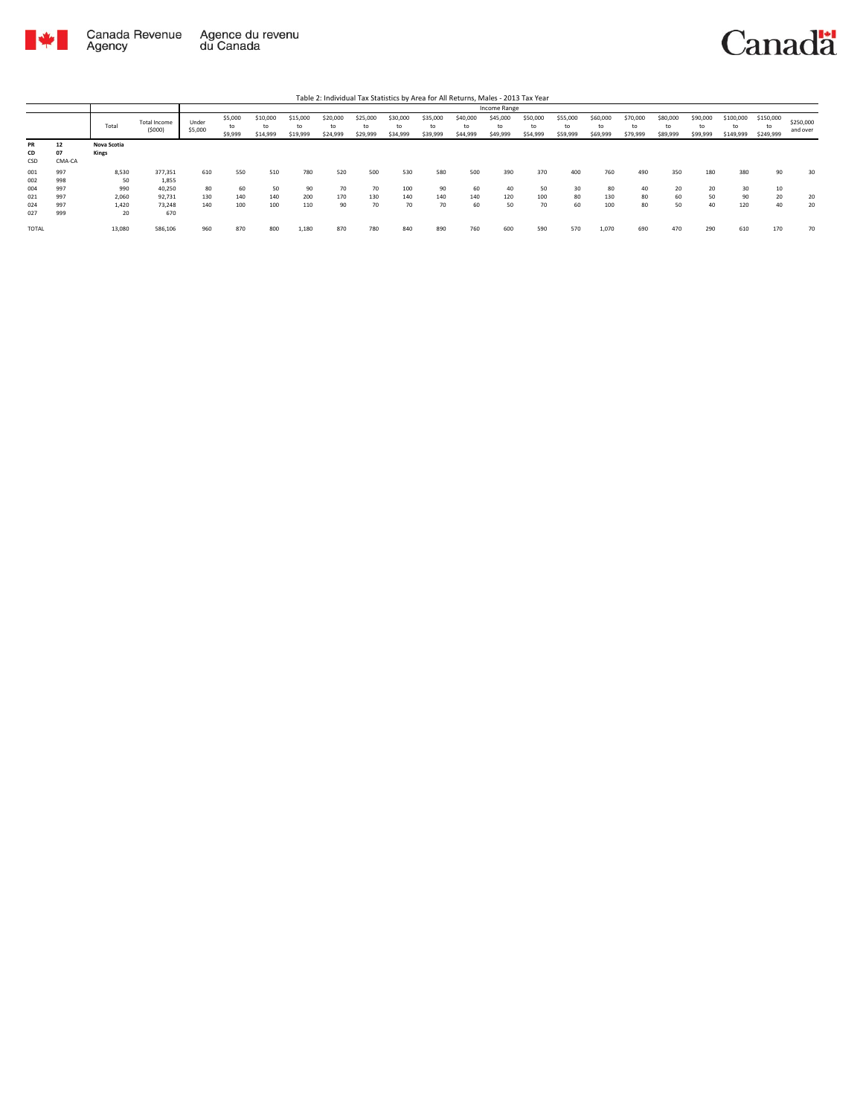

|                 |                    |                      |                        |                  |                          |                            |                            |                            |                            |                      |                            |                            |                            | Table 2: Individual Tax Statistics by Area for All Returns, Males - 2013 Tax Year |                            |                            |                            |                            |                            |                              |                              |                       |
|-----------------|--------------------|----------------------|------------------------|------------------|--------------------------|----------------------------|----------------------------|----------------------------|----------------------------|----------------------|----------------------------|----------------------------|----------------------------|-----------------------------------------------------------------------------------|----------------------------|----------------------------|----------------------------|----------------------------|----------------------------|------------------------------|------------------------------|-----------------------|
|                 |                    |                      |                        |                  |                          |                            |                            |                            |                            |                      |                            |                            | Income Range               |                                                                                   |                            |                            |                            |                            |                            |                              |                              |                       |
|                 |                    | Total                | Total Income<br>(5000) | Under<br>\$5,000 | \$5,000<br>to<br>\$9,999 | \$10,000<br>to<br>\$14,999 | \$15,000<br>to<br>\$19,999 | \$20,000<br>to<br>\$24,999 | \$25,000<br>to<br>\$29,999 | \$30,000<br>\$34,999 | \$35,000<br>to<br>\$39,999 | \$40,000<br>to<br>\$44,999 | \$45,000<br>to<br>\$49,999 | \$50,000<br>to<br>\$54,999                                                        | \$55,000<br>to<br>\$59,999 | \$60,000<br>to<br>\$69,999 | \$70,000<br>to<br>\$79,999 | \$80,000<br>to<br>\$89,999 | \$90,000<br>to<br>\$99,999 | \$100,000<br>to<br>\$149,999 | \$150,000<br>to<br>\$249,999 | \$250,000<br>and over |
| PR<br>CD<br>CSD | 12<br>07<br>CMA-CA | Nova Scotia<br>Kings |                        |                  |                          |                            |                            |                            |                            |                      |                            |                            |                            |                                                                                   |                            |                            |                            |                            |                            |                              |                              |                       |
| 001<br>002      | 997<br>998         | 8,530<br>50          | 377,351<br>1,855       | 610              | 550                      | 510                        | 780                        | 520                        | 500                        | 530                  | 580                        | 500                        | 390                        | 370                                                                               | 400                        | 760                        | 490                        | 350                        | 180                        | 380                          | 90                           | 30                    |
| 004<br>021      | 997<br>997         | 990<br>2,060         | 40,250<br>92.731       | 80<br>130        | 60<br>140                | 50<br>140                  | 90<br>200                  | 70<br>170                  | 70<br>130                  | 100<br>140           | 90<br>140                  | 60<br>140                  | 40<br>120                  | 50<br>100                                                                         | 30<br>80                   | 80<br>130                  | 40<br>80                   | 20<br>60                   | 20<br>50                   | 30<br>90                     | 10<br>20                     | 20                    |
| 024<br>027      | 997<br>999         | 1.420<br>20          | 73.248<br>670          | 140              | 100                      | 100                        | 110                        | 90                         | 70                         | 70                   | 70                         | 60                         | 50                         | 70                                                                                | 60                         | 100                        | 80                         | 50                         | 40                         | 120                          | 40                           | 20                    |
| TOTAL           |                    | 13,080               | 586,106                | 960              | 870                      | 800                        | 1,180                      | 870                        | 780                        | 840                  | 890                        | 760                        | 600                        | 590                                                                               | 570                        | 1,070                      | 690                        | 470                        | 290                        | 610                          | 170                          | 70                    |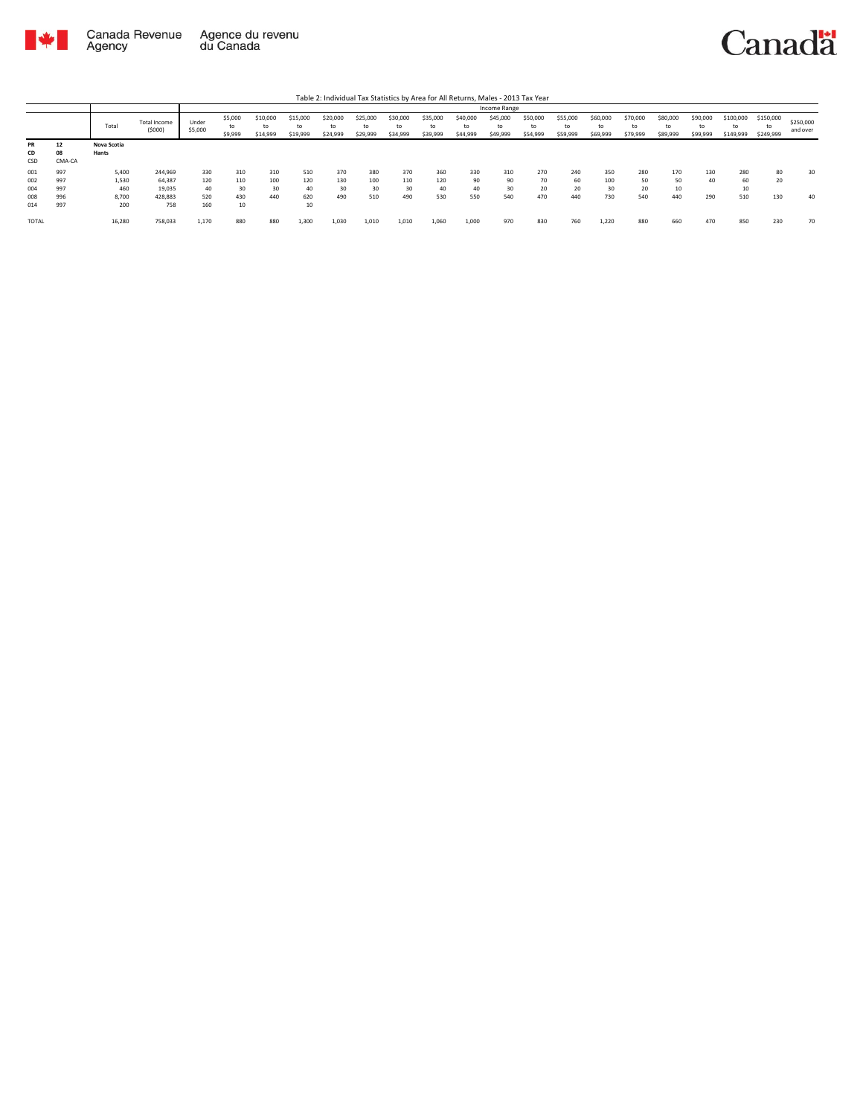

|              |        |             |                        |                  |                          |                            |                            |                            |                            |                      |                            |                            | Income Range               |                            |                            |                            |                            |                            |                            |                              |                        |                       |
|--------------|--------|-------------|------------------------|------------------|--------------------------|----------------------------|----------------------------|----------------------------|----------------------------|----------------------|----------------------------|----------------------------|----------------------------|----------------------------|----------------------------|----------------------------|----------------------------|----------------------------|----------------------------|------------------------------|------------------------|-----------------------|
|              |        | Total       | Total Income<br>(5000) | Under<br>\$5,000 | \$5,000<br>to<br>\$9,999 | \$10,000<br>to<br>\$14,999 | \$15,000<br>to<br>\$19,999 | \$20,000<br>to<br>\$24,999 | \$25,000<br>to<br>\$29,999 | \$30,000<br>\$34,999 | \$35,000<br>to<br>\$39,999 | \$40,000<br>to<br>\$44,999 | \$45,000<br>to<br>\$49,999 | \$50,000<br>to<br>\$54,999 | \$55,000<br>to<br>\$59,999 | \$60,000<br>to<br>\$69,999 | \$70,000<br>to<br>\$79,999 | \$80,000<br>to<br>\$89,999 | \$90,000<br>to<br>\$99,999 | \$100,000<br>to<br>\$149,999 | \$150,000<br>\$249,999 | \$250,000<br>and over |
| <b>PR</b>    | 12     | Nova Scotia |                        |                  |                          |                            |                            |                            |                            |                      |                            |                            |                            |                            |                            |                            |                            |                            |                            |                              |                        |                       |
| CD           | 08     | Hants       |                        |                  |                          |                            |                            |                            |                            |                      |                            |                            |                            |                            |                            |                            |                            |                            |                            |                              |                        |                       |
| CSD          | CMA-CA |             |                        |                  |                          |                            |                            |                            |                            |                      |                            |                            |                            |                            |                            |                            |                            |                            |                            |                              |                        |                       |
| 001          | 997    | 5,400       | 244,969                | 330              | 310                      | 310                        | 510                        | 370                        | 380                        | 370                  | 360                        | 330                        | 310                        | 270                        | 240                        | 350                        | 280                        | 170                        | 130                        | 280                          | 80                     | 30                    |
| 002          | 997    | 1,530       | 64,387                 | 120              | 110                      | 100                        | 120                        | 130                        | 100                        | 110                  | 120                        | 90                         | 90                         | 70                         | 60                         | 100                        | 50                         | 50                         | 40                         | 60                           | 20                     |                       |
| 004          | 997    | 460         | 19,035                 | 40               | 30                       | 30                         | 40                         | 30                         | 30                         | 30                   | 40                         | 40                         | 30                         | 20                         | 20                         | 30                         | 20                         | 10                         |                            | 10                           |                        |                       |
| 008          | 996    | 8,700       | 428,883                | 520              | 430                      | 440                        | 620                        | 490                        | 510                        | 490                  | 530                        | 550                        | 540                        | 470                        | 440                        | 730                        | 540                        | 440                        | 290                        | 510                          | 130                    | 40                    |
| 014          | 997    | 200         | 758                    | 160              | 10                       |                            | 10                         |                            |                            |                      |                            |                            |                            |                            |                            |                            |                            |                            |                            |                              |                        |                       |
| <b>TOTAL</b> |        | 16,280      | 758,033                | 1,170            | 880                      | 880                        | 1,300                      | 1,030                      | 1,010                      | 1,010                | 1,060                      | 1,000                      | 970                        | 830                        | 760                        | 1,220                      | 880                        | 660                        | 470                        | 850                          | 230                    | 70                    |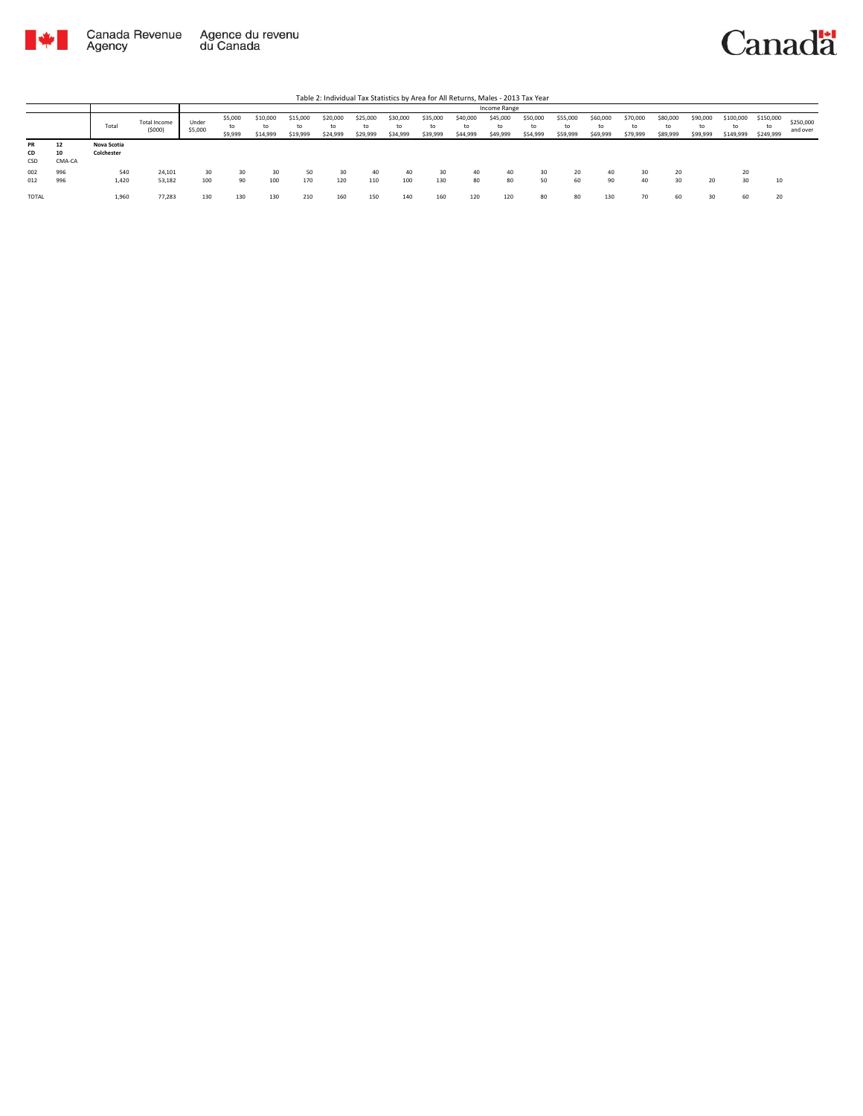

|                 |                    |                           |                               |                  |                          |                            |                      |                            |                      |                            |                            |                            | Income Range               |                            |                            |                            |                            |                            |                            |                              |                              |                       |
|-----------------|--------------------|---------------------------|-------------------------------|------------------|--------------------------|----------------------------|----------------------|----------------------------|----------------------|----------------------------|----------------------------|----------------------------|----------------------------|----------------------------|----------------------------|----------------------------|----------------------------|----------------------------|----------------------------|------------------------------|------------------------------|-----------------------|
|                 |                    | Total                     | <b>Total Income</b><br>(5000) | Under<br>\$5,000 | \$5,000<br>to<br>\$9,999 | \$10,000<br>to<br>\$14,999 | \$15,000<br>\$19,999 | \$20,000<br>to<br>\$24,999 | \$25,000<br>\$29,999 | \$30,000<br>to<br>\$34,999 | \$35,000<br>to<br>\$39,999 | \$40,000<br>to<br>\$44,999 | \$45,000<br>to<br>\$49,999 | \$50,000<br>to<br>\$54,999 | \$55,000<br>to<br>\$59,999 | \$60,000<br>to<br>\$69,999 | \$70,000<br>to<br>\$79,999 | \$80,000<br>to<br>\$89,999 | \$90,000<br>to<br>\$99,999 | \$100,000<br>to<br>\$149,999 | \$150,000<br>to<br>\$249,999 | \$250,000<br>and over |
| PR<br>CD<br>CSD | 12<br>10<br>CMA-CA | Nova Scotia<br>Colchester |                               |                  |                          |                            |                      |                            |                      |                            |                            |                            |                            |                            |                            |                            |                            |                            |                            |                              |                              |                       |
| 002<br>012      | 996<br>996         | 540<br>1,420              | 24,101<br>53,182              | 30<br>100        | 30<br>90                 | 30<br>100                  | 50<br>170            | 30<br>120                  | 40<br>110            | 40<br>100                  | 30<br>130                  | 40<br>80                   | 40<br>80                   | 30<br>50                   | 20<br>60                   | 40<br>90                   | 30<br>40                   | 20<br>30                   | 20                         | 20<br>30                     | 10                           |                       |
| TOTAL           |                    | 1,960                     | 77,283                        | 130              | 130                      | 130                        | 210                  | 160                        | 150                  | 140                        | 160                        | 120                        | 120                        | 80                         | 80                         | 130                        | 70                         | 60                         | 30                         | 60                           | 20                           |                       |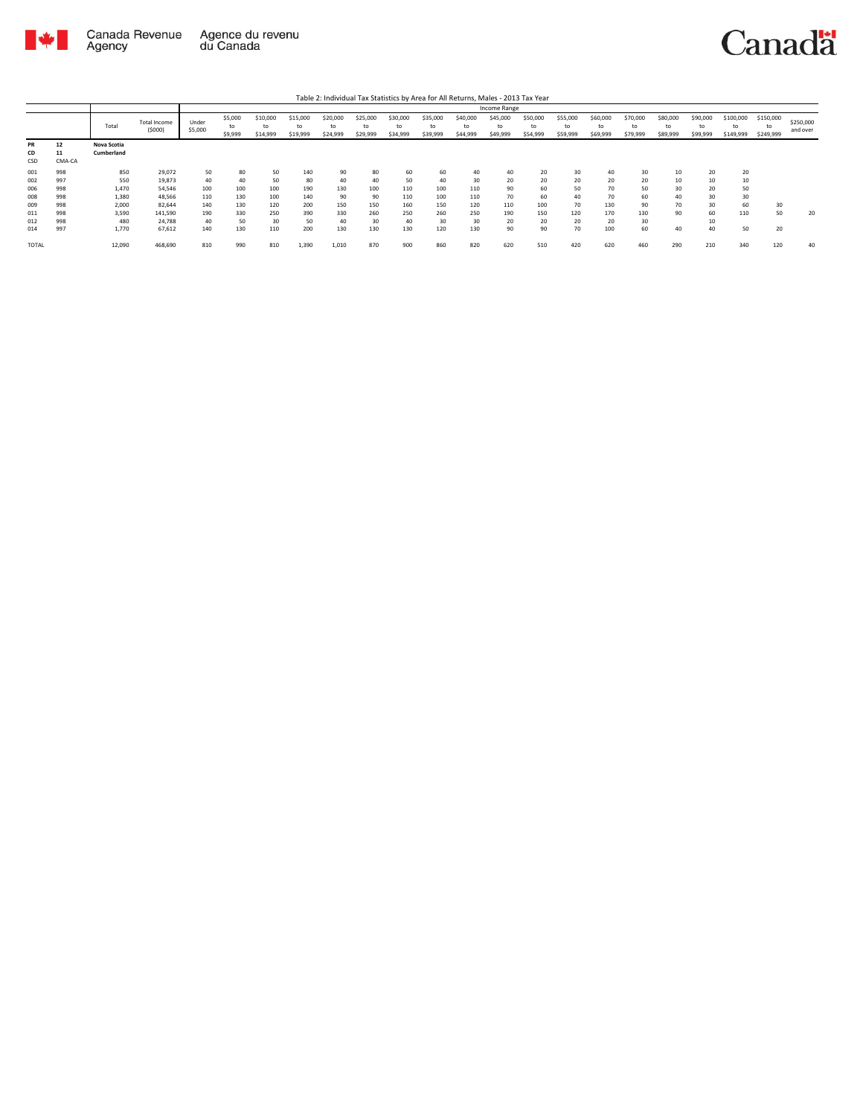

|                        |                    |                           |                               |                  |                          |                            |                            |                      |                            |                            |                            |                            | Income Range               |                            |                      |                            |                            |                            |                            |                              |                        |                       |
|------------------------|--------------------|---------------------------|-------------------------------|------------------|--------------------------|----------------------------|----------------------------|----------------------|----------------------------|----------------------------|----------------------------|----------------------------|----------------------------|----------------------------|----------------------|----------------------------|----------------------------|----------------------------|----------------------------|------------------------------|------------------------|-----------------------|
|                        |                    | Total                     | <b>Total Income</b><br>(5000) | Under<br>\$5,000 | \$5,000<br>to<br>\$9,999 | \$10,000<br>to<br>\$14,999 | \$15,000<br>to<br>\$19,999 | \$20,000<br>\$24,999 | \$25,000<br>to<br>\$29,999 | \$30,000<br>to<br>\$34,999 | \$35,000<br>to<br>\$39,999 | \$40,000<br>to<br>\$44,999 | \$45,000<br>to<br>\$49,999 | \$50,000<br>to<br>\$54,999 | \$55,000<br>\$59,999 | \$60,000<br>to<br>\$69,999 | \$70,000<br>to<br>\$79,999 | \$80,000<br>to<br>\$89,999 | \$90,000<br>to<br>\$99,999 | \$100,000<br>to<br>\$149,999 | \$150,000<br>\$249,999 | \$250,000<br>and over |
| <b>PR</b><br>CD<br>CSD | 12<br>11<br>CMA-CA | Nova Scotia<br>Cumberland |                               |                  |                          |                            |                            |                      |                            |                            |                            |                            |                            |                            |                      |                            |                            |                            |                            |                              |                        |                       |
| 001                    | 998                | 850                       | 29,072                        | 50               | 80                       | 50                         | 140                        | 90                   | 80                         | 60                         | 60                         | 40                         |                            | 20                         | 30                   |                            | 30                         | 10                         | 20                         | 20                           |                        |                       |
| 002                    | 997                | 550                       | 19,873                        | 40               | 40                       | 50                         | 80                         | 40                   | 40                         | 50                         | 40                         | 30                         | 20                         | 20                         | 20                   | 20                         | 20                         | 10                         | 10                         | 10                           |                        |                       |
| 006                    | 998                | 1,470                     | 54.546                        | 100              | 100                      | 100                        | 190                        | 130                  | 100                        | 110                        | 100                        | 110                        | 90                         | 60                         | 50                   | 70                         | 50                         | 30                         | 20                         | 50                           |                        |                       |
| 008                    | 998                | 1,380                     | 48.566                        | 110              | 130                      | 100                        | 140                        | 90                   | 90                         | 110                        | 100                        | 110                        | 70                         | 60                         | 40                   | 70                         | 60                         | 40                         | 30                         | 30                           |                        |                       |
| 009                    | 998                | 2.000                     | 82.644                        | 140              | 130                      | 120                        | 200                        | 150                  | 150                        | 160                        | 150                        | 120                        | 110                        | 100                        | 70                   | 130                        | 90                         | 70                         | 30                         | 60                           | 30                     |                       |
| 011                    | 998                | 3.590                     | 141.590                       | 190              | 330                      | 250                        | 390                        | 330                  | 260                        | 250                        | 260                        | 250                        | 190                        | 150                        | 120                  | 170                        | 130                        | 90                         | 60                         | 110                          | 50                     | 20                    |
| 012                    | 998                | 480                       | 24.788                        | 40               | 50                       | 30                         | 50                         | 40                   | 30                         | 40                         | 30                         | 30                         | 20                         | 20                         | 20                   | 20                         | 30                         |                            | 10                         |                              |                        |                       |
| 014                    | 997                | 1,770                     | 67,612                        | 140              | 130                      | 110                        | 200                        | 130                  | 130                        | 130                        | 120                        | 130                        | 90                         | 90                         | 70                   | 100                        | 60                         | 40                         | 40                         | 50                           | 20                     |                       |
| <b>TOTAL</b>           |                    | 12,090                    | 468,690                       | 810              | 990                      | 810                        | 1,390                      | 1,010                | 870                        | 900                        | 860                        | 820                        | 620                        | 510                        | 420                  | 620                        | 460                        | 290                        | 210                        | 340                          | 120                    | 40                    |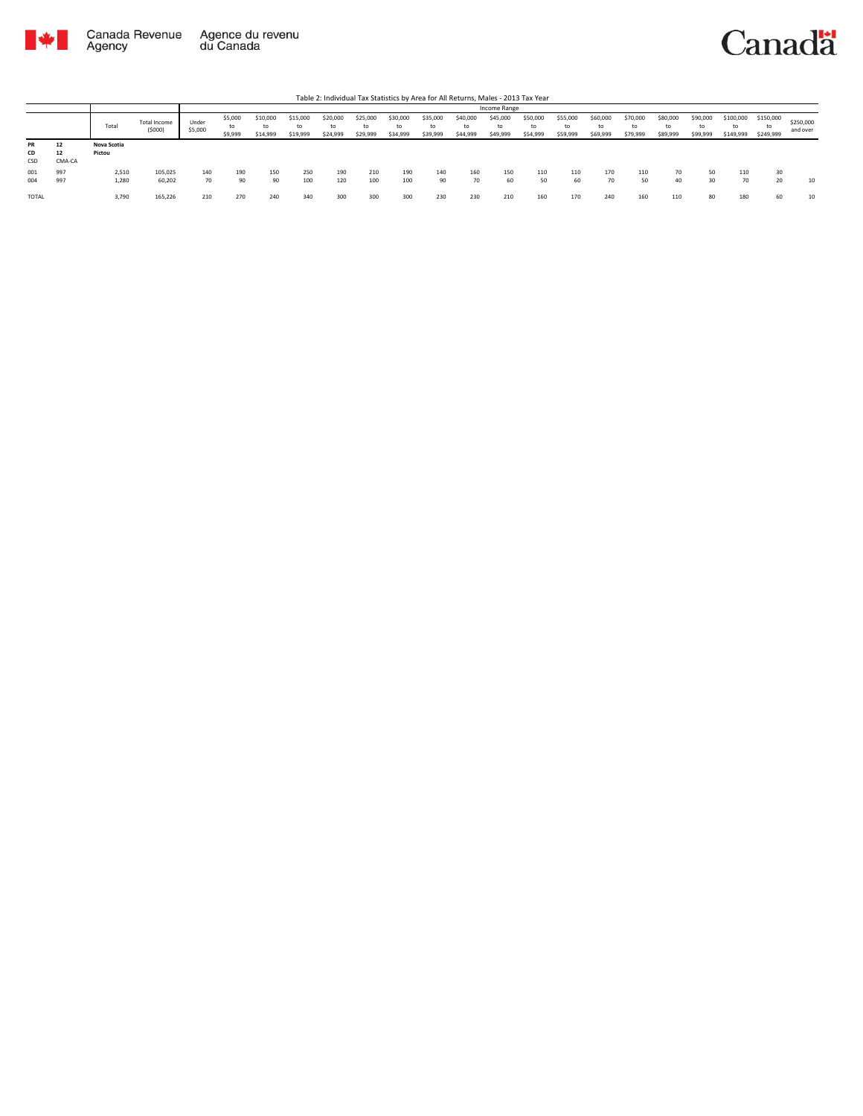

|                 |                    |                       |                        |                  |                          |                            |                            |                            |                            |                      |                            |                            | Income Range               |                            |                            |                            |                            |                            |                            |                              |                              |                       |
|-----------------|--------------------|-----------------------|------------------------|------------------|--------------------------|----------------------------|----------------------------|----------------------------|----------------------------|----------------------|----------------------------|----------------------------|----------------------------|----------------------------|----------------------------|----------------------------|----------------------------|----------------------------|----------------------------|------------------------------|------------------------------|-----------------------|
|                 |                    | Total                 | Total Income<br>(5000) | Under<br>\$5,000 | \$5,000<br>to<br>\$9,999 | \$10,000<br>to<br>\$14,999 | \$15,000<br>to<br>\$19,999 | \$20,000<br>to<br>\$24,999 | \$25,000<br>to<br>\$29,999 | \$30,000<br>\$34,999 | \$35,000<br>to<br>\$39,999 | \$40,000<br>to<br>\$44,999 | \$45,000<br>to<br>\$49,999 | \$50,000<br>to<br>\$54,999 | \$55,000<br>to<br>\$59,999 | \$60,000<br>to<br>\$69,999 | \$70,000<br>to<br>\$79,999 | \$80,000<br>to<br>\$89,999 | \$90,000<br>to<br>\$99,999 | \$100,000<br>to<br>\$149,999 | \$150,000<br>to<br>\$249,999 | \$250,000<br>and over |
| PR<br>CD<br>CSD | 12<br>12<br>CMA-CA | Nova Scotia<br>Pictou |                        |                  |                          |                            |                            |                            |                            |                      |                            |                            |                            |                            |                            |                            |                            |                            |                            |                              |                              |                       |
| 001<br>004      | 997<br>997         | 2,510<br>1,280        | 105,025<br>60,202      | 140<br>70        | 190<br>90                | 150<br>90                  | 250<br>100                 | 190<br>120                 | 210<br>100                 | 190<br>100           | 140<br>90                  | 160<br>70                  | 150<br>60                  | 110<br>50                  | 110<br>60                  | 170<br>70                  | 110<br>50                  | 70<br>40                   | 50<br>30                   | 110<br>70                    | 30<br>20                     | 10                    |
| <b>TOTAL</b>    |                    | 3,790                 | 165.226                | 210              | 270                      | 240                        | 340                        | 300                        | 300                        | 300                  | 230                        | 230                        | 210                        | 160                        | 170                        | 240                        | 160                        | 110                        | 80                         | 180                          | 60                           | 10                    |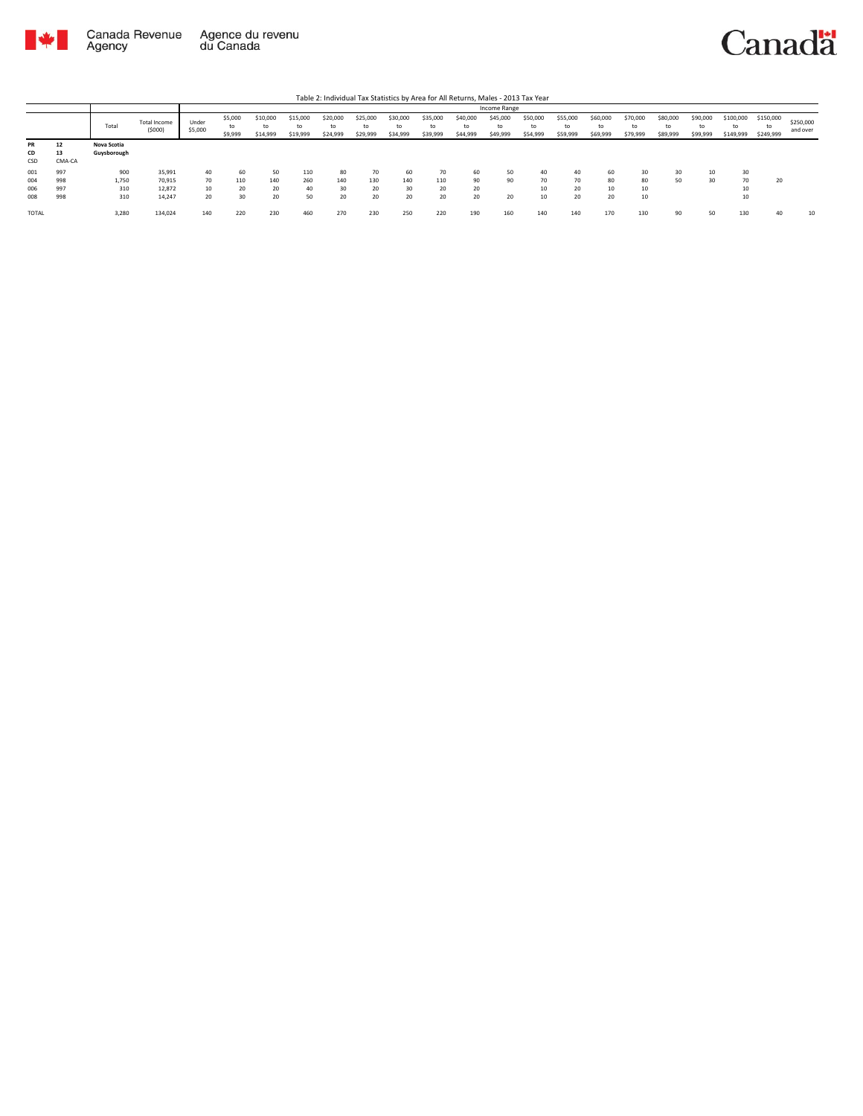

|                        |                    |                            |                        |                  |                          |                            |                            |                            |                            |                      |                            |                            | Income Range               |                            |                            |                            |                            |                            |                            |                              |                              |                       |
|------------------------|--------------------|----------------------------|------------------------|------------------|--------------------------|----------------------------|----------------------------|----------------------------|----------------------------|----------------------|----------------------------|----------------------------|----------------------------|----------------------------|----------------------------|----------------------------|----------------------------|----------------------------|----------------------------|------------------------------|------------------------------|-----------------------|
|                        |                    | Total                      | Total Income<br>(5000) | Under<br>\$5,000 | \$5,000<br>to<br>\$9,999 | \$10,000<br>to<br>\$14,999 | \$15,000<br>to<br>\$19,999 | \$20,000<br>to<br>\$24,999 | \$25,000<br>to<br>\$29,999 | \$30,000<br>\$34,999 | \$35,000<br>to<br>\$39,999 | \$40,000<br>to<br>\$44,999 | \$45,000<br>to<br>\$49,999 | \$50,000<br>to<br>\$54,999 | \$55,000<br>to<br>\$59,999 | \$60,000<br>to<br>\$69,999 | \$70,000<br>to<br>\$79,999 | \$80,000<br>to<br>\$89,999 | \$90,000<br>to<br>\$99,999 | \$100,000<br>to<br>\$149,999 | \$150,000<br>to<br>\$249,999 | \$250,000<br>and over |
| <b>PR</b><br>CD<br>CSD | 12<br>13<br>CMA-CA | Nova Scotia<br>Guysborough |                        |                  |                          |                            |                            |                            |                            |                      |                            |                            |                            |                            |                            |                            |                            |                            |                            |                              |                              |                       |
| 001                    | 997                | 900                        | 35,991                 | 40               | 60                       | 50                         | 110                        | 80                         | 70                         | 60                   | 70                         | 60                         | 50                         | 40                         | 40                         | 60                         | 30                         | 30                         | 10                         | 30                           |                              |                       |
| 004                    | 998                | 1,750                      | 70.915                 | 70               | 110                      | 140                        | 260                        | 140                        | 130                        | 140                  | 110                        | 90                         | 90                         | 70                         | 70                         | 80                         | 80                         | 50                         | 30                         | 70                           | 20                           |                       |
| 006                    | 997                | 310                        | 12,872                 | 10               | 20                       | 20                         | 40                         | 30                         | 20                         | 30                   | 20                         | 20                         |                            | 10                         | 20                         | 10                         | 10                         |                            |                            | 10                           |                              |                       |
| 008                    | 998                | 310                        | 14.247                 | 20               | 30                       | 20                         | 50                         | 20                         | 20                         | 20                   | 20                         | 20                         | 20                         | 10                         | 20                         | 20                         | 10                         |                            |                            | 10                           |                              |                       |
| <b>TOTAL</b>           |                    | 3,280                      | 134,024                | 140              | 220                      | 230                        | 460                        | 270                        | 230                        | 250                  | 220                        | 190                        | 160                        | 140                        | 140                        | 170                        | 130                        | 90                         | 50                         | 130                          | 40                           | 10                    |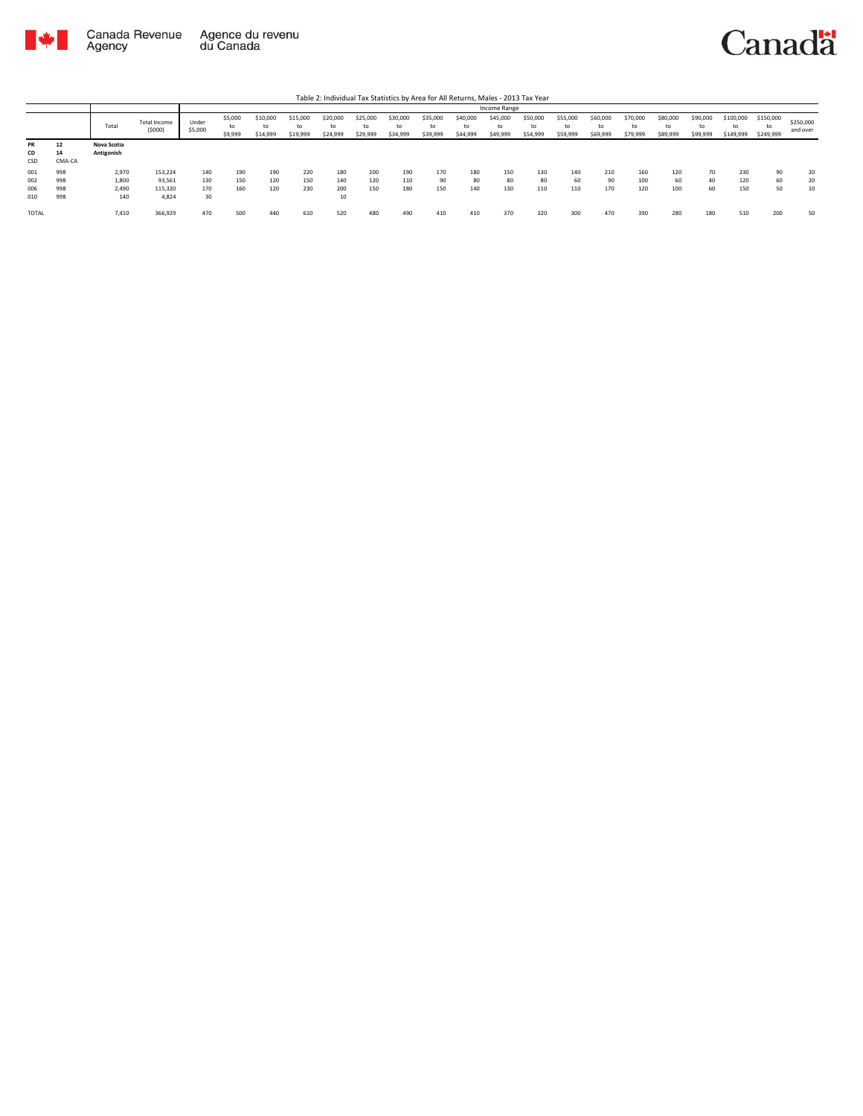

|                        |                    |                           |                        |                  |                          |                            |                            |                            |                            |                      |                            |                            | Income Range               |                            |                            |                            |                            |                            |                            |                              |                              |                       |
|------------------------|--------------------|---------------------------|------------------------|------------------|--------------------------|----------------------------|----------------------------|----------------------------|----------------------------|----------------------|----------------------------|----------------------------|----------------------------|----------------------------|----------------------------|----------------------------|----------------------------|----------------------------|----------------------------|------------------------------|------------------------------|-----------------------|
|                        |                    | Total                     | Total Income<br>(5000) | Under<br>\$5,000 | \$5,000<br>to<br>\$9,999 | \$10,000<br>to<br>\$14,999 | \$15,000<br>to<br>\$19,999 | \$20,000<br>to<br>\$24,999 | \$25,000<br>to<br>\$29,999 | \$30,000<br>\$34,999 | \$35,000<br>to<br>\$39,999 | \$40,000<br>to<br>\$44,999 | \$45,000<br>to<br>\$49,999 | \$50,000<br>to<br>\$54,999 | \$55,000<br>to<br>\$59,999 | \$60,000<br>to<br>\$69,999 | \$70,000<br>to<br>\$79,999 | \$80,000<br>to<br>\$89,999 | \$90,000<br>to<br>\$99,999 | \$100,000<br>to<br>\$149,999 | \$150,000<br>to<br>\$249,999 | \$250,000<br>and over |
| <b>PR</b><br>CD<br>CSD | 12<br>14<br>CMA-CA | Nova Scotia<br>Antigonish |                        |                  |                          |                            |                            |                            |                            |                      |                            |                            |                            |                            |                            |                            |                            |                            |                            |                              |                              |                       |
| 001                    | 998                | 2,970                     | 153,224                | 140              | 190                      | 190                        | 220                        | 180                        | 200                        | 190                  | 170                        | 180                        | 150                        | 130                        | 140                        | 210                        | 160                        | 120                        | 70                         | 230                          | 90                           | 20                    |
| 002                    | 998                | 1,800                     | 93,561                 | 130              | 150                      | 120                        | 150                        | 140                        | 120                        | 110                  | 90                         | 80                         | 80                         | 80                         | 60                         | 90                         | 100                        | 60                         | 40                         | 120                          | 60                           | 20                    |
| 006                    | 998                | 2,490                     | 115,320                | 170              | 160                      | 120                        | 230                        | 200                        | 150                        | 180                  | 150                        | 140                        | 130                        | 110                        | 110                        | 170                        | 120                        | 100                        | 60                         | 150                          | 50                           | 10                    |
| 010                    | 998                | 140                       | 4.824                  | 30               |                          |                            |                            | 10                         |                            |                      |                            |                            |                            |                            |                            |                            |                            |                            |                            |                              |                              |                       |
| <b>TOTAL</b>           |                    | 7,410                     | 366,929                | 470              | 500                      | 440                        | 610                        | 520                        | 480                        | 490                  | 410                        | 410                        | 370                        | 320                        | 300                        | 470                        | 390                        | 280                        | 180                        | 510                          | 200                          | 50                    |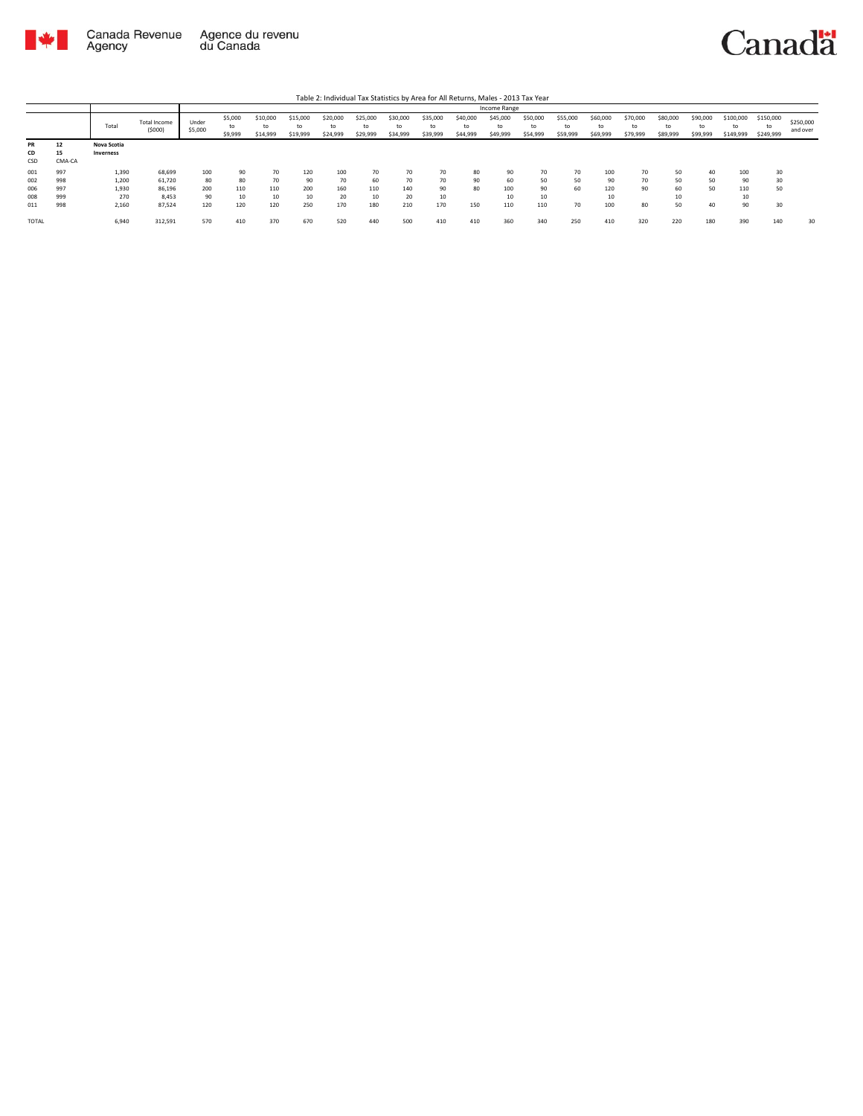

|              |        |             |                        |                  |                          |                            |                            |                      |                            |                            |                            |                            | Income Range               |                            |                            |                            |                            |                            |                            |                              |                        |                       |
|--------------|--------|-------------|------------------------|------------------|--------------------------|----------------------------|----------------------------|----------------------|----------------------------|----------------------------|----------------------------|----------------------------|----------------------------|----------------------------|----------------------------|----------------------------|----------------------------|----------------------------|----------------------------|------------------------------|------------------------|-----------------------|
|              |        | Total       | Total Income<br>(5000) | Under<br>\$5,000 | \$5,000<br>to<br>\$9,999 | \$10,000<br>to<br>\$14,999 | \$15,000<br>to<br>\$19,999 | \$20,000<br>\$24,999 | \$25,000<br>to<br>\$29,999 | \$30,000<br>to<br>\$34,999 | \$35,000<br>to<br>\$39,999 | \$40,000<br>to<br>\$44,999 | \$45,000<br>to<br>\$49,999 | \$50,000<br>to<br>\$54,999 | \$55,000<br>to<br>\$59,999 | \$60,000<br>to<br>\$69,999 | \$70,000<br>to<br>\$79,999 | \$80,000<br>to<br>\$89,999 | \$90,000<br>to<br>\$99,999 | \$100,000<br>to<br>\$149,999 | \$150,000<br>\$249,999 | \$250,000<br>and over |
| <b>PR</b>    | 12     | Nova Scotia |                        |                  |                          |                            |                            |                      |                            |                            |                            |                            |                            |                            |                            |                            |                            |                            |                            |                              |                        |                       |
| CD           | 15     | Inverness   |                        |                  |                          |                            |                            |                      |                            |                            |                            |                            |                            |                            |                            |                            |                            |                            |                            |                              |                        |                       |
| CSD          | CMA-CA |             |                        |                  |                          |                            |                            |                      |                            |                            |                            |                            |                            |                            |                            |                            |                            |                            |                            |                              |                        |                       |
| 001          | 997    | 1,390       | 68,699                 | 100              | 90                       | 70                         | 120                        | 100                  | 70                         | 70                         | 70                         | 80                         | 90                         | 70                         | 70                         | 100                        | 70                         | 50                         | 40                         | 100                          | 30                     |                       |
| 002          | 998    | 1,200       | 61,720                 | 80               | 80                       | 70                         | 90                         | 70                   | 60                         | 70                         | 70                         | 90                         | 60                         | 50                         | 50                         | ۵ŕ                         | 70                         | 50                         | 50                         | 90                           | 30                     |                       |
| 006          | 997    | 1,930       | 86,196                 | 200              | 110                      | 110                        | 200                        | 160                  | 110                        | 140                        | 90                         | 80                         | 100                        | 90                         | 60                         | 120                        | 90                         | 60                         | 50                         | 110                          | 50                     |                       |
| 008          | 999    | 270         | 8.453                  | 90               | 10                       | 10                         | 10                         | 20                   | 10                         | 20                         | 10                         |                            | 10                         | 10                         |                            |                            |                            | 10                         |                            | 10                           |                        |                       |
| 011          | 998    | 2,160       | 87,524                 | 120              | 120                      | 120                        | 250                        | 170                  | 180                        | 210                        | 170                        | 150                        | 110                        | 110                        | 70                         | 100                        | 80                         | 50                         | 40                         | 90                           | 30                     |                       |
| <b>TOTAL</b> |        | 6,940       | 312,591                | 570              | 410                      | 370                        | 670                        | 520                  | 440                        | 500                        | 410                        | 410                        | 360                        | 340                        | 250                        | 410                        | 320                        | 220                        | 180                        | 390                          | 140                    | 30                    |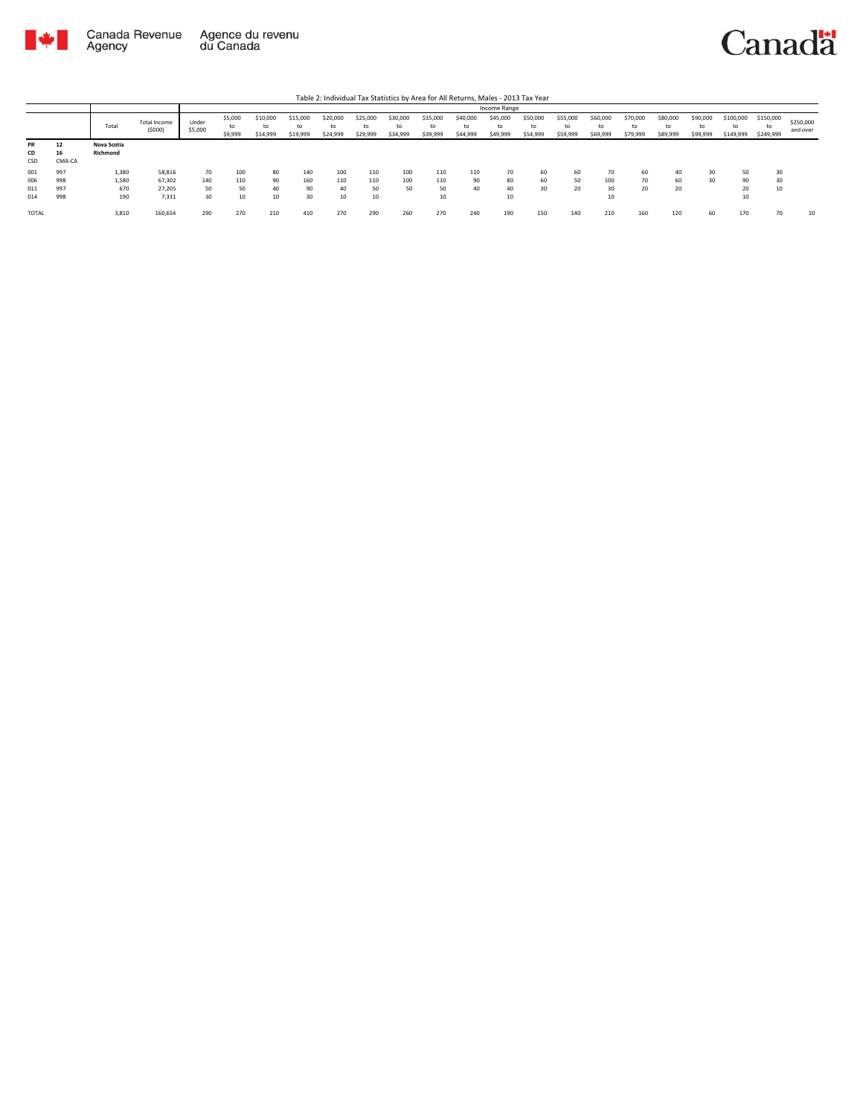

|                 |             |                        |                  | Income Range<br>\$5,000<br>\$45,000<br>\$55,000<br>\$60,000<br>\$100,000<br>\$20,000<br>\$25,000<br>\$35,000<br>\$50,000<br>\$70,000<br>\$80,000<br>\$90,000<br>\$150,000<br>\$15,000<br>\$30,000<br>\$40,000<br>\$10,000 |                |                |                |                |                |                |                |                |                |                |                |                |                |                |                 |                 |                       |
|-----------------|-------------|------------------------|------------------|---------------------------------------------------------------------------------------------------------------------------------------------------------------------------------------------------------------------------|----------------|----------------|----------------|----------------|----------------|----------------|----------------|----------------|----------------|----------------|----------------|----------------|----------------|----------------|-----------------|-----------------|-----------------------|
|                 | Total       | Total Income<br>(5000) | Under<br>\$5,000 | to<br>\$9,999                                                                                                                                                                                                             | to<br>\$14,999 | to<br>\$19,999 | to<br>\$24,999 | to<br>\$29,999 | to<br>\$34,999 | to<br>\$39,999 | to<br>\$44,999 | to<br>\$49,999 | to<br>\$54,999 | to<br>\$59,999 | to<br>\$69,999 | to<br>\$79,999 | to<br>\$89,999 | to<br>\$99,999 | to<br>\$149,999 | to<br>\$249,999 | \$250,000<br>and over |
| 12<br><b>PR</b> | Nova Scotia |                        |                  |                                                                                                                                                                                                                           |                |                |                |                |                |                |                |                |                |                |                |                |                |                |                 |                 |                       |
| 16<br>CD        | Richmond    |                        |                  |                                                                                                                                                                                                                           |                |                |                |                |                |                |                |                |                |                |                |                |                |                |                 |                 |                       |
| CSD<br>CMA-CA   |             |                        |                  |                                                                                                                                                                                                                           |                |                |                |                |                |                |                |                |                |                |                |                |                |                |                 |                 |                       |
| 001<br>997      | 1,380       | 58,816                 | 70               | 100                                                                                                                                                                                                                       | 80             | 140            | 100            | 110            | 100            | 110            | 110            | 70             | 60             | 60             | 70             | 60             | 40             | 30             | 50              | 30              |                       |
| 998<br>006      | 1,580       | 67.302                 | 140              | 110                                                                                                                                                                                                                       | 90             | 160            | 110            | 110            | 100            | 110            | 90             | 80             | 60             | 50             | 100            | 70             | 60             | 30             | 90              | 30              |                       |
| 997<br>011      | 670         | 27.205                 | 50               | 50                                                                                                                                                                                                                        | 40             | 90             | 40             | 50             | 50             | 50             | 40             | 40             | 30             | 20             | 30             | 20             | 20             |                | 20              | 10              |                       |
| 998<br>014      | 190         | 7,331                  | 30               | 10                                                                                                                                                                                                                        | 10             | 30             | 10             | 10             |                | 10             |                | 10             |                |                | 10             |                |                |                | 10              |                 |                       |
| <b>TOTAL</b>    | 3,810       | 160,654                | 290              | 270                                                                                                                                                                                                                       | 210            | 410            | 270            | 290            | 260            | 270            | 240            | 190            | 150            | 140            | 210            | 160            | 120            | 60             | 170             | 70              | 10                    |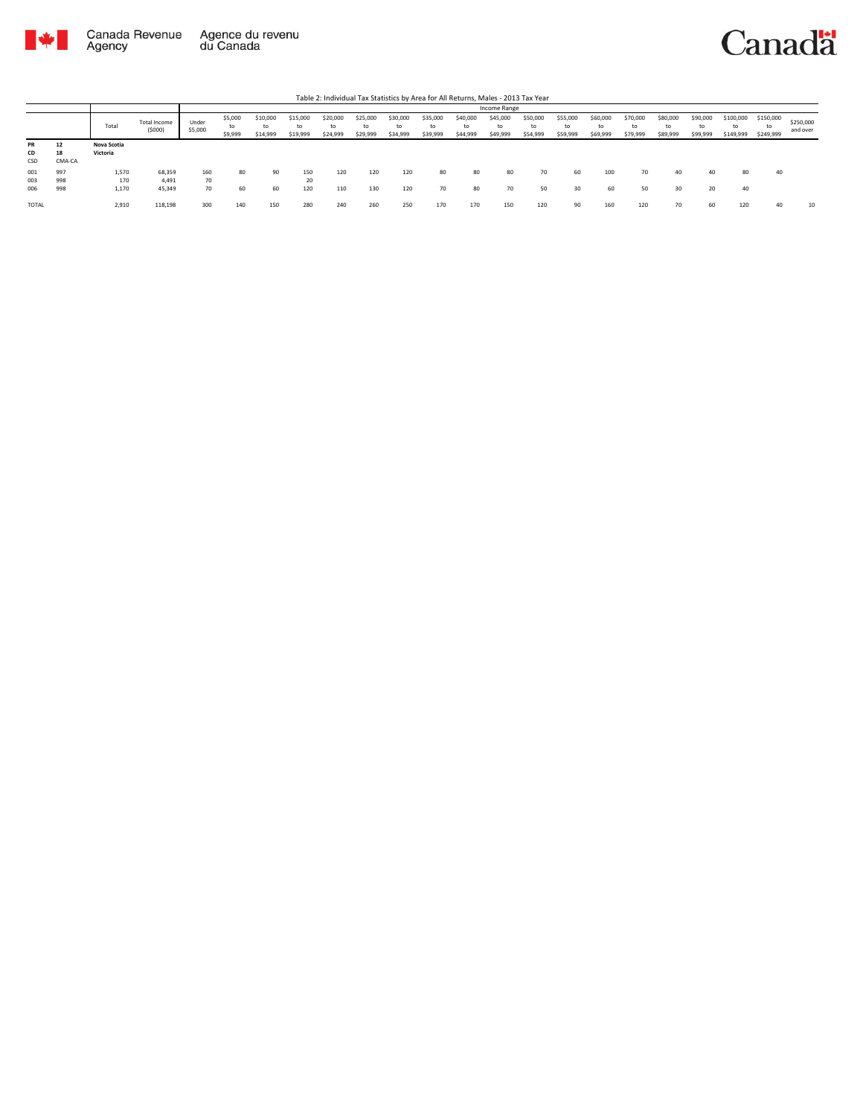

|                   |                    |                         |                           |                  |                          |                            |                      |                            |                            |                            |                      |                            | Income Range               |                            |                            |                            |                      |                            |                            |                              |                              |                       |
|-------------------|--------------------|-------------------------|---------------------------|------------------|--------------------------|----------------------------|----------------------|----------------------------|----------------------------|----------------------------|----------------------|----------------------------|----------------------------|----------------------------|----------------------------|----------------------------|----------------------|----------------------------|----------------------------|------------------------------|------------------------------|-----------------------|
|                   |                    | Total                   | Total Income<br>(5000)    | Under<br>\$5,000 | \$5,000<br>to<br>\$9,999 | \$10,000<br>to<br>\$14,999 | \$15,000<br>\$19,999 | \$20,000<br>to<br>\$24,999 | \$25,000<br>to<br>\$29,999 | \$30,000<br>to<br>\$34,999 | \$35,000<br>\$39,999 | \$40,000<br>to<br>\$44,999 | \$45,000<br>to<br>\$49,999 | \$50,000<br>to<br>\$54,999 | \$55,000<br>to<br>\$59,999 | \$60,000<br>to<br>\$69,999 | \$70,000<br>\$79,999 | \$80,000<br>to<br>\$89,999 | \$90,000<br>to<br>\$99,999 | \$100,000<br>to<br>\$149,999 | \$150,000<br>to<br>\$249,999 | \$250,000<br>and over |
| PR<br>CD<br>CSD   | 12<br>18<br>CMA-CA | Nova Scotia<br>Victoria |                           |                  |                          |                            |                      |                            |                            |                            |                      |                            |                            |                            |                            |                            |                      |                            |                            |                              |                              |                       |
| 001<br>003<br>006 | 997<br>998<br>998  | 1,570<br>170<br>1,170   | 68,359<br>4.491<br>45,349 | 160<br>70<br>70  | 80<br>60                 | 90<br>60                   | 150<br>20<br>120     | 120<br>110                 | 120<br>130                 | 120<br>120                 | 80<br>70             | 80<br>80                   | 80<br>70                   | 70<br>50                   | 60<br>30                   | 100<br>60                  | 70<br>50             | 40<br>30                   | 40<br>20                   | 80<br>40                     | 40                           |                       |
| <b>TOTAL</b>      |                    | 2,910                   | 118,198                   | 300              | 140                      | 150                        | 280                  | 240                        | 260                        | 250                        | 170                  | 170                        | 150                        | 120                        | 90                         | 160                        | 120                  | 70                         | 60                         | 120                          | 40                           | 10                    |